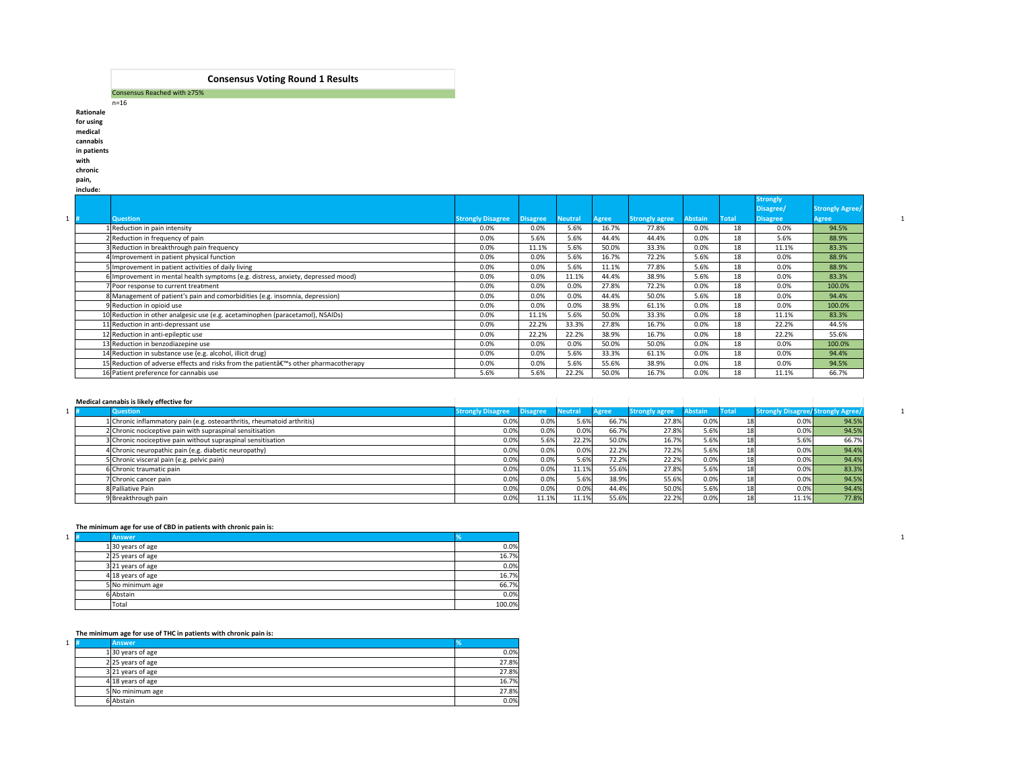|          | Consensus Reached with $\geq 75\%$ |
|----------|------------------------------------|
| $n = 16$ |                                    |

**Rationale for using medical cannabis in patients with** 

### **chronic**

**pain,** 

|                                                                                       |                          |                 |                |              |                       |                |              | <b>Strongly</b><br>Disagree/ | <b>Strongly Agree/</b> |
|---------------------------------------------------------------------------------------|--------------------------|-----------------|----------------|--------------|-----------------------|----------------|--------------|------------------------------|------------------------|
| Question                                                                              | <b>Strongly Disagree</b> | <b>Disagree</b> | <b>Neutral</b> | <b>Agree</b> | <b>Strongly agree</b> | <b>Abstain</b> | <b>Total</b> | <b>Disagree</b>              | <b>Agree</b>           |
| 1 Reduction in pain intensity                                                         | $0.0\%$                  | 0.0%            | 5.6%           | 16.7%        | 77.8%                 | 0.0%           | 18           | 0.0%                         | 94.5%                  |
| 2 Reduction in frequency of pain                                                      | $0.0\%$                  | 5.6%            | 5.6%           | 44.4%        | 44.4%                 | 0.0%           | 18           | 5.6%                         | 88.9%                  |
| 3 Reduction in breakthrough pain frequency                                            | $0.0\%$                  | 11.1%           | 5.6%           | 50.0%        | 33.3%                 | 0.0%           | 18           | 11.1%                        | 83.3%                  |
| 4 Improvement in patient physical function                                            | $0.0\%$                  | 0.0%            | 5.6%           | 16.7%        | 72.2%                 | 5.6%           | 18           | 0.0%                         | 88.9%                  |
| 5 Improvement in patient activities of daily living                                   | $0.0\%$                  | 0.0%            | 5.6%           | 11.1%        | 77.8%                 | 5.6%           | 18           | 0.0%                         | 88.9%                  |
| 6 Improvement in mental health symptoms (e.g. distress, anxiety, depressed mood)      | $0.0\%$                  | 0.0%            | 11.1%          | 44.4%        | 38.9%                 | 5.6%           | 18           | 0.0%                         | 83.3%                  |
| ' Poor response to current treatment                                                  | 0.0%                     | 0.0%            | 0.0%           | 27.8%        | 72.2%                 | 0.0%           | 18           | 0.0%                         | 100.0%                 |
| 8 Management of patient's pain and comorbidities (e.g. insomnia, depression)          | $0.0\%$                  | 0.0%            | 0.0%           | 44.4%        | 50.0%                 | 5.6%           | 18           | 0.0%                         | 94.4%                  |
| 9 Reduction in opioid use                                                             | $0.0\%$                  | 0.0%            | 0.0%           | 38.9%        | 61.1%                 | 0.0%           | 18           | 0.0%                         | 100.0%                 |
| 10 Reduction in other analgesic use (e.g. acetaminophen (paracetamol), NSAIDs)        | $0.0\%$                  | 11.1%           | 5.6%           | 50.0%        | 33.3%                 | 0.0%           | 18           | 11.1%                        | 83.3%                  |
| 11 Reduction in anti-depressant use                                                   | $0.0\%$                  | 22.2%           | 33.3%          | 27.8%        | 16.7%                 | 0.0%           | 18           | 22.2%                        | 44.5%                  |
| 12 Reduction in anti-epileptic use                                                    | $0.0\%$                  | 22.2%           | 22.2%          | 38.9%        | 16.7%                 | 0.0%           | 18           | 22.2%                        | 55.6%                  |
| 13 Reduction in benzodiazepine use                                                    | $0.0\%$                  | 0.0%            | 0.0%           | 50.0%        | 50.0%                 | 0.0%           | 18           | 0.0%                         | 100.0%                 |
| 14 Reduction in substance use (e.g. alcohol, illicit drug)                            | $0.0\%$                  | 0.0%            | 5.6%           | 33.3%        | 61.1%                 | 0.0%           | 18           | 0.0%                         | 94.4%                  |
| 15 Reduction of adverse effects and risks from the patient a€™s other pharmacotherapy | $0.0\%$                  | 0.0%            | 5.6%           | 55.6%        | 38.9%                 | 0.0%           | 18           | 0.0%                         | 94.5%                  |
| 16 Patient preference for cannabis use                                                | 5.6%                     | 5.6%            | 22.2%          | 50.0%        | 16.7%                 | 0.0%           | 18           | 11.1%                        | 66.7%                  |

# **Medical cannabis is likely effective for**

| Medical cannabis is likely effective for                                |                          |                 |                |              |                       |         |              |                                          |       |
|-------------------------------------------------------------------------|--------------------------|-----------------|----------------|--------------|-----------------------|---------|--------------|------------------------------------------|-------|
| <b>Question</b>                                                         | <b>Strongly Disagree</b> | <b>Disagree</b> | <b>Neutral</b> | <b>Agree</b> | <b>Strongly agree</b> | Abstain | <b>Total</b> | <b>Strongly Disagree</b> Strongly Agree/ |       |
| 1 Chronic inflammatory pain (e.g. osteoarthritis, rheumatoid arthritis) | 0.0%                     | 0.0%            | 5.6%           | 66.7%        | 27.8%                 | 0.0%    |              | 0.0%                                     | 94.5% |
| 2 Chronic nociceptive pain with supraspinal sensitisation               | 0.0%                     | 0.0%            | 0.0%           | 66.7%        | 27.8%                 | 5.6%    |              | $0.0\%$                                  | 94.5% |
| SChronic nociceptive pain without supraspinal sensitisation             | 0.0%                     | 5.6%            | 22.2%          | 50.0%        | 16.7%                 | 5.6%    |              | 5.6%                                     | 66.7% |
| 4 Chronic neuropathic pain (e.g. diabetic neuropathy)                   | 0.0%                     | 0.0%            | 0.0%           | 22.2%        | 72.2%                 | 5.6%    |              | $0.0\%$                                  | 94.4% |
| Chronic visceral pain (e.g. pelvic pain)                                | 0.0%                     | 0.0%            | 5.6%           | 72.2%        | 22.2%                 | 0.0%    |              | 0.0%                                     | 94.4% |
| 6 Chronic traumatic pain                                                | 0.0%                     | 0.0%            | 11.1%          | 55.6%        | 27.8%                 | 5.6%    |              | $0.0\%$                                  | 83.3% |
| Chronic cancer pain                                                     | 0.0%                     | 0.0%            | 5.6%           | 38.9%        | 55.6%                 | 0.0%    |              | 0.0%                                     | 94.5% |
| 8 Palliative Pain                                                       | 0.0%                     | 0.0%            | 0.0%           | 44.4%        | 50.0%                 | 5.6%    |              | 0.0%                                     | 94.4% |
| 9Breakthrough pain                                                      | 0.0%                     | 11.1%           | 11.1%          | 55.6%        | 22.2%                 | 0.0%    |              | 11.1%                                    | 77.8% |

# **The minimum age for use of CBD in patients with chronic pain is:**

| Answer              |        |
|---------------------|--------|
| $1 30$ years of age | 0.0%   |
| $2 25$ years of age | 16.7%  |
| 3 21 years of age   | 0.0%   |
| $4 18$ years of age | 16.7%  |
| 5 No minimum age    | 66.7%  |
| 6 Abstain           | 0.0%   |
| <b>Total</b>        | 100.0% |

# **The minimum age for use of THC in patients with chronic pain is:**

| $1 \vert \mathbf{H}$ | <b>Answer</b>       |       |
|----------------------|---------------------|-------|
|                      | $1 30$ years of age | 0.0%  |
|                      | $2$ 25 years of age | 27.8% |
|                      | 321 years of age    | 27.8% |
|                      | $4$ 18 years of age | 16.7% |
|                      | 5 No minimum age    | 27.8% |
|                      | 6 Abstain           | 0.0%  |

# **Consensus Voting Round 1 Results**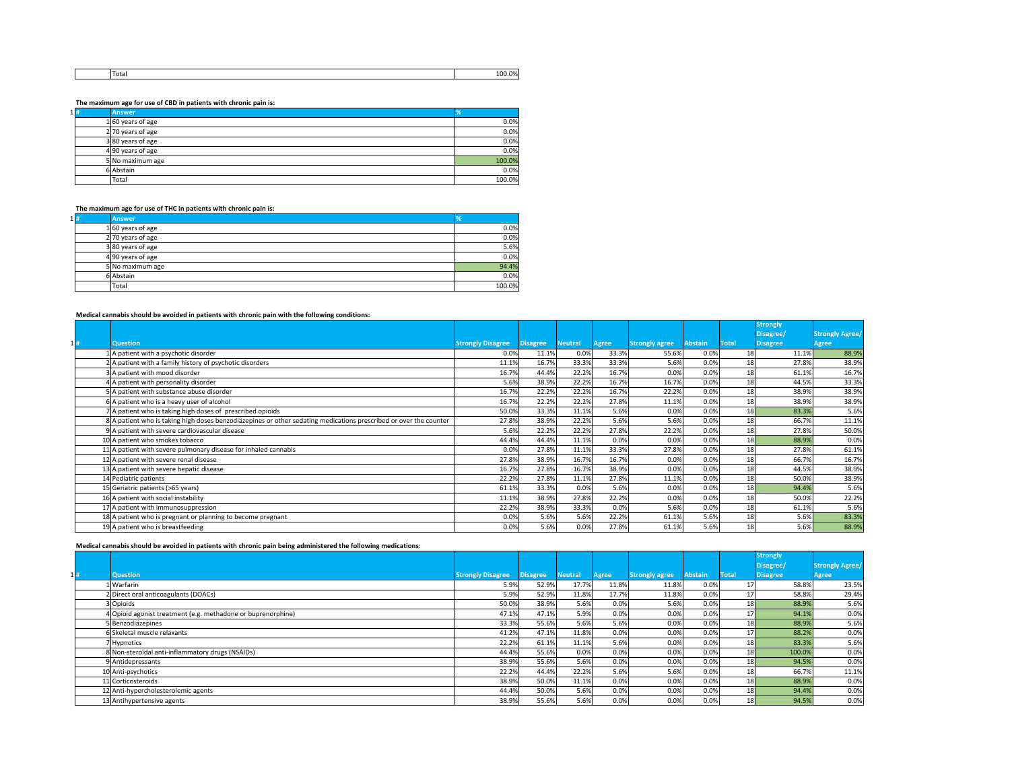|  | ITota. | ገዓሪ<br>$\overline{\phantom{a}}$<br>( ) (<br>$\alpha$<br>$- - - - -$ |
|--|--------|---------------------------------------------------------------------|
|  |        |                                                                     |

**The maximum age for use of CBD in patients with chronic pain is:**

| $1 $ # | <b>Answer</b>       | %      |
|--------|---------------------|--------|
|        | $1 60$ years of age | 0.0%   |
|        | $2$ 70 years of age | 0.0%   |
|        | 380 years of age    | 0.0%   |
|        | 4 90 years of age   | 0.0%   |
|        | 5 No maximum age    | 100.0% |
|        | 6 Abstain           | 0.0%   |
|        | Total               | 100.0% |

**The maximum age for use of THC in patients with chronic pain is:**

| $1 $ # | <b>Answer</b>       | ℅      |
|--------|---------------------|--------|
|        | $1 60$ years of age | 0.0%   |
|        | 2 70 years of age   | 0.0%   |
|        | $3 80$ years of age | 5.6%   |
|        | $4$ 90 years of age | 0.0%   |
|        | 5 No maximum age    | 94.4%  |
|        | 6 Abstain           | 0.0%   |
|        | Total               | 100.0% |

**Medical cannabis should be avoided in patients with chronic pain with the following conditions:**

|     |                                                                                                                   |                          |                 |                |              |                       |                |              | <b>Strongly</b> |                        |
|-----|-------------------------------------------------------------------------------------------------------------------|--------------------------|-----------------|----------------|--------------|-----------------------|----------------|--------------|-----------------|------------------------|
|     |                                                                                                                   |                          |                 |                |              |                       |                |              | Disagree/       | <b>Strongly Agree/</b> |
| 11# | <b>Question</b>                                                                                                   | <b>Strongly Disagree</b> | <b>Disagree</b> | <b>Neutral</b> | <b>Agree</b> | <b>Strongly agree</b> | <b>Abstain</b> | <b>Total</b> | <b>Disagree</b> | Agree                  |
|     | 1 A patient with a psychotic disorder                                                                             | 0.0%                     | 11.1%           | 0.0%           | 33.3%        | 55.6%                 | 0.0%           | 18           | 11.1%           | 88.9%                  |
|     | 2 A patient with a family history of psychotic disorders                                                          | 11.1%                    | 16.7%           | 33.3%          | 33.3%        | 5.6%                  | 0.0%           | 18           | 27.8%           | 38.9%                  |
|     | 3 A patient with mood disorder                                                                                    | 16.7%                    | 44.4%           | 22.2%          | 16.7%        | 0.0%                  | 0.0%           | 18           | 61.1%           | 16.7%                  |
|     | 4 A patient with personality disorder                                                                             | 5.6%                     | 38.9%           | 22.2%          | 16.7%        | 16.7%                 | 0.0%           | 18           | 44.5%           | 33.3%                  |
|     | 5 A patient with substance abuse disorder                                                                         | 16.7%                    | 22.2%           | 22.2%          | 16.7%        | 22.2%                 | 0.0%           | 18           | 38.9%           | 38.9%                  |
|     | 6 A patient who is a heavy user of alcohol                                                                        | 16.7%                    | 22.2%           | 22.2%          | 27.8%        | 11.1%                 | 0.0%           | 18           | 38.9%           | 38.9%                  |
|     | 7 A patient who is taking high doses of prescribed opioids                                                        | 50.0%                    | 33.3%           | 11.1%          | 5.6%         | 0.0%                  | 0.0%           | 18           | 83.3%           | 5.6%                   |
|     | 8 A patient who is taking high doses benzodiazepines or other sedating medications prescribed or over the counter | 27.8%                    | 38.9%           | 22.2%          | 5.6%         | 5.6%                  | 0.0%           | 18           | 66.7%           | 11.1%                  |
|     | 9A patient with severe cardiovascular disease                                                                     | 5.6%                     | 22.2%           | 22.2%          | 27.8%        | 22.2%                 | 0.0%           | 18           | 27.8%           | 50.0%                  |
|     | 10 A patient who smokes tobacco                                                                                   | 44.4%                    | 44.4%           | 11.1%          | 0.0%         | 0.0%                  | 0.0%           | 18           | 88.9%           | 0.0%                   |
|     | $11$  A patient with severe pulmonary disease for inhaled cannabis                                                | 0.0%                     | 27.8%           | 11.1%          | 33.3%        | 27.8%                 | 0.0%           | 18           | 27.8%           | 61.1%                  |
|     | 12 A patient with severe renal disease                                                                            | 27.8%                    | 38.9%           | 16.7%          | 16.7%        | 0.0%                  | 0.0%           | 18           | 66.7%           | 16.7%                  |
|     | 13 A patient with severe hepatic disease                                                                          | 16.7%                    | 27.8%           | 16.7%          | 38.9%        | 0.0%                  | 0.0%           | 18           | 44.5%           | 38.9%                  |
|     | 14 Pediatric patients                                                                                             | 22.2%                    | 27.8%           | 11.1%          | 27.8%        | 11.1%                 | 0.0%           | 18           | 50.0%           | 38.9%                  |
|     | 15 Geriatric patients (>65 years)                                                                                 | 61.1%                    | 33.3%           | 0.0%           | 5.6%         | 0.0%                  | 0.0%           | 18           | 94.4%           | 5.6%                   |
|     | 16 A patient with social instability                                                                              | 11.1%                    | 38.9%           | 27.8%          | 22.2%        | 0.0%                  | 0.0%           | 18           | 50.0%           | 22.2%                  |
|     | 17 A patient with immunosuppression                                                                               | 22.2%                    | 38.9%           | 33.3%          | 0.0%         | 5.6%                  | 0.0%           | 18           | 61.1%           | 5.6%                   |
|     | 18 A patient who is pregnant or planning to become pregnant                                                       | 0.0%                     | 5.6%            | 5.6%           | 22.2%        | 61.1%                 | 5.6%           | 18           | 5.6%            | 83.3%                  |
|     | 19 A patient who is breastfeeding                                                                                 | 0.0%                     | 5.6%            | 0.0%           | 27.8%        | 61.1%                 | 5.6%           | 18           | 5.6%            | 88.9%                  |

**Medical cannabis should be avoided in patients with chronic pain being administered the following medications:**

|    |                                                              |                          |                 |                |              |                       |                |                 | <b>Strongly</b> |                        |
|----|--------------------------------------------------------------|--------------------------|-----------------|----------------|--------------|-----------------------|----------------|-----------------|-----------------|------------------------|
|    |                                                              |                          |                 |                |              |                       |                |                 | Disagree/       | <b>Strongly Agree/</b> |
| 1# | <b>Question</b>                                              | <b>Strongly Disagree</b> | <b>Disagree</b> | <b>Neutral</b> | <b>Agree</b> | <b>Strongly agree</b> | <b>Abstain</b> | <b>Total</b>    | <b>Disagree</b> | <b>Agree</b>           |
|    | L Warfarin                                                   | 5.9%                     | 52.9%           | 17.7%          | 11.8%        | 11.8%                 | 0.0%           |                 | 58.8%           | 23.5%                  |
|    | 2 Direct oral anticoagulants (DOACs)                         | 5.9%                     | 52.9%           | 11.8%          | 17.7%        | 11.8%                 | 0.0%           |                 | 58.8%           | 29.4%                  |
|    | 3 Opioids                                                    | 50.0%                    | 38.9%           | 5.6%           | 0.0%         | 5.6%                  | 0.0%           | 18 <sup>1</sup> | 88.9%           | 5.6%                   |
|    | 4 Opioid agonist treatment (e.g. methadone or buprenorphine) | 47.1%                    | 47.1%           | 5.9%           | 0.0%         | 0.0%                  | 0.0%           | 17 <sup>1</sup> | 94.1%           | 0.0%                   |
|    | 5 Benzodiazepines                                            | 33.3%                    | 55.6%           | 5.6%           | 5.6%         | 0.0%                  | 0.0%           | 18 <sup>1</sup> | 88.9%           | 5.6%                   |
|    | 6 Skeletal muscle relaxants                                  | 41.2%                    | 47.1%           | 11.8%          | 0.0%         | 0.0%                  | 0.0%           | 17 <sup>1</sup> | 88.2%           | 0.0%                   |
|    | 7 Hypnotics                                                  | 22.2%                    | 61.1%           | 11.1%          | 5.6%         | 0.0%                  | 0.0%           | 18 <sup>1</sup> | 83.3%           | 5.6%                   |
|    | 8 Non-steroidal anti-inflammatory drugs (NSAIDs)             | 44.4%                    | 55.6%           | 0.0%           | 0.0%         | 0.0%                  | 0.0%           | 18              | 100.0%          | 0.0%                   |
|    | 9 Antidepressants                                            | 38.9%                    | 55.6%           | 5.6%           | 0.0%         | 0.0%                  | 0.0%           | 18 <sup>1</sup> | 94.5%           | 0.0%                   |
|    | 10 Anti-psychotics                                           | 22.2%                    | 44.4%           | 22.2%          | 5.6%         | 5.6%                  | 0.0%           | 18              | 66.7%           | 11.1%                  |
|    | 11 Corticosteroids                                           | 38.9%                    | 50.0%           | 11.1%          | 0.0%         | 0.0%                  | 0.0%           | 18              | 88.9%           | 0.0%                   |
|    | 12 Anti-hypercholesterolemic agents                          | 44.4%                    | 50.0%           | 5.6%           | 0.0%         | 0.0%                  | 0.0%           | 18 <sup>1</sup> | 94.4%           | 0.0%                   |
|    | 13 Antihypertensive agents                                   | 38.9%                    | 55.6%           | 5.6%           | 0.0%         | 0.0%                  | 0.0%           | 18              | 94.5%           | 0.0%                   |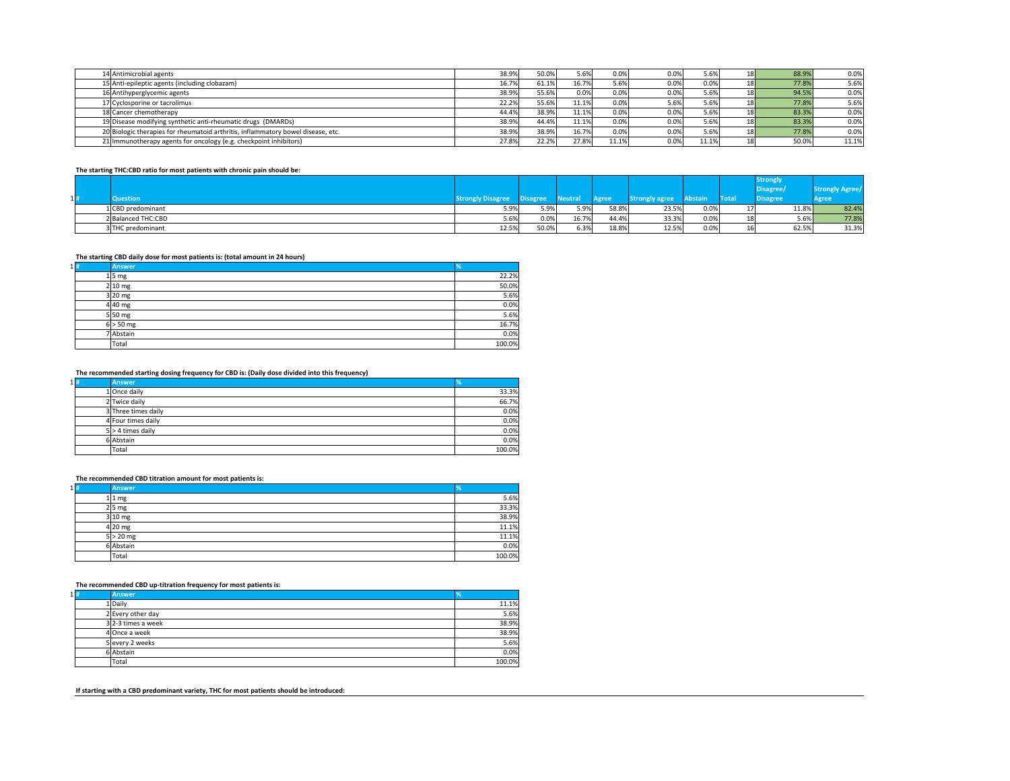| 14 Antimicrobial agents                                                          | 38.9% | 50.0% | 5.6%  | 0.0%    | 0.0% | 5.6%  | 18              | 88.9% | 0.0%  |
|----------------------------------------------------------------------------------|-------|-------|-------|---------|------|-------|-----------------|-------|-------|
| 15 Anti-epileptic agents (including clobazam)                                    | 16.7% | 61.1% | 16.7% | 5.6%    | 0.0% | 0.0%  | 18              | 77.8% | 5.6%  |
| 16 Antihyperglycemic agents                                                      | 38.9% | 55.6% | 0.0%  | $0.0\%$ | 0.0% | 5.6%  | 18              | 94.5% | 0.0%  |
| 17 Cyclosporine or tacrolimus                                                    | 22.2% | 55.6% | 11.1% | $0.0\%$ | 5.6% | 5.6%  | 18 <sub>l</sub> | 77.8% | 5.6%  |
| 18 Cancer chemotherapy                                                           | 44.4% | 38.9% | 11.1% | $0.0\%$ | 0.0% | 5.6%  | 18              | 83.3% | 0.0%  |
| 19 Disease modifying synthetic anti-rheumatic drugs (DMARDs)                     | 38.9% | 44.4% | 11.1% | $0.0\%$ | 0.0% | 5.6%  | 18              | 83.3% | 0.0%  |
| 20 Biologic therapies for rheumatoid arthritis, inflammatory bowel disease, etc. | 38.9% | 38.9% | 16.7% | $0.0\%$ | 0.0% | 5.6%  | 18              | 77.8% | 0.0%  |
| 21 Immunotherapy agents for oncology (e.g. checkpoint inhibitors)                | 27.8% | 22.2% | 27.8% | 11.1%   | 0.0% | 11.1% | 18              | 50.0% | 11.1% |
|                                                                                  |       |       |       |         |      |       |                 |       |       |

#### **The starting THC:CBD ratio for most patients with chronic pain should be:**

|        |                    |                          |                 |         |              |                       |         |                   | <b>Strongly</b> |                              |  |  |
|--------|--------------------|--------------------------|-----------------|---------|--------------|-----------------------|---------|-------------------|-----------------|------------------------------|--|--|
|        |                    |                          |                 |         |              |                       |         |                   | Disagree        | Strongly Agı<br><b>ARICE</b> |  |  |
| $1 $ # | <b>Question</b>    | <b>Strongly Disagree</b> | <b>Disagree</b> | Neutral | <b>Agree</b> | <b>Strongly agree</b> | Abstain | <b>Total</b>      | <b>Disagree</b> | <b>Agree</b>                 |  |  |
|        | 1 CBD predominant  | 5.9%                     | 5.9%            | 5.9%    | 58.8%        | 23.5%                 | 0.0%    | $\perp$ / $\perp$ | 11.8%           | 82.4%                        |  |  |
|        | 2 Balanced THC:CBD | 5.6%                     | 0.0%            | 16.7%   | 44.4%        | 33.3%                 | 0.0%    | 18 <sup>l</sup>   | $5.6\%$         | 77.8%                        |  |  |
|        | 3THC predominant   | 12.5%                    | 50.0%           | 6.3%    | 18.8%        | 12.5%                 | 0.0%    | 16                | 62.5%           | 31.3%                        |  |  |

#### **The starting CBD daily dose for most patients is: (total amount in 24 hours)**

| $1 $ # | <b>Answer</b>      | <b>1%</b> |
|--------|--------------------|-----------|
|        | $1\overline{5}$ mg | 22.2%     |
|        | $2 10 \text{ mg}$  | 50.0%     |
|        | $3 20$ mg          | 5.6%      |
|        | $4 40$ mg          | 0.0%      |
|        | $5 50$ mg          | 5.6%      |
|        | $6 > 50$ mg        | 16.7%     |
|        | 7 Abstain          | 0.0%      |
|        | Total              | 100.0%    |

### **The recommended starting dosing frequency for CBD is: (Daily dose divided into this frequency)**

| $1 $ # | <b>Answer</b>       |        |
|--------|---------------------|--------|
|        | 1 Once daily        | 33.3%  |
|        | 2 Twice daily       | 66.7%  |
|        | 3 Three times daily | 0.0%   |
|        | 4 Four times daily  | 0.0%   |
|        | $5$ > 4 times daily | 0.0%   |
|        | 6 Abstain           | 0.0%   |
|        | <b>Total</b>        | 100.0% |

# **The recommended CBD titration amount for most patients is:**

| $1 $ # | <b>Answer</b>    | %      |
|--------|------------------|--------|
|        | $1 1$ mg         | 5.6%   |
|        | $2 5 \text{ mg}$ | 33.3%  |
|        | $3 10$ mg        | 38.9%  |
|        | $4$  20 mg       | 11.1%  |
|        | $5 > 20$ mg      | 11.1%  |
|        | 6 Abstain        | 0.0%   |
|        | <b>Total</b>     | 100.0% |

### **The recommended CBD up-titration frequency for most patients is:**

| $1 $ # | <b>Answer</b>      | Y.     |
|--------|--------------------|--------|
|        | 1 Daily            | 11.1%  |
|        | 2 Every other day  | 5.6%   |
|        | 3 2-3 times a week | 38.9%  |
|        | 4 Once a week      | 38.9%  |
|        | 5 every 2 weeks    | 5.6%   |
|        | 6 Abstain          | 0.0%   |
|        | Total              | 100.0% |

**If starting with a CBD predominant variety, THC for most patients should be introduced:**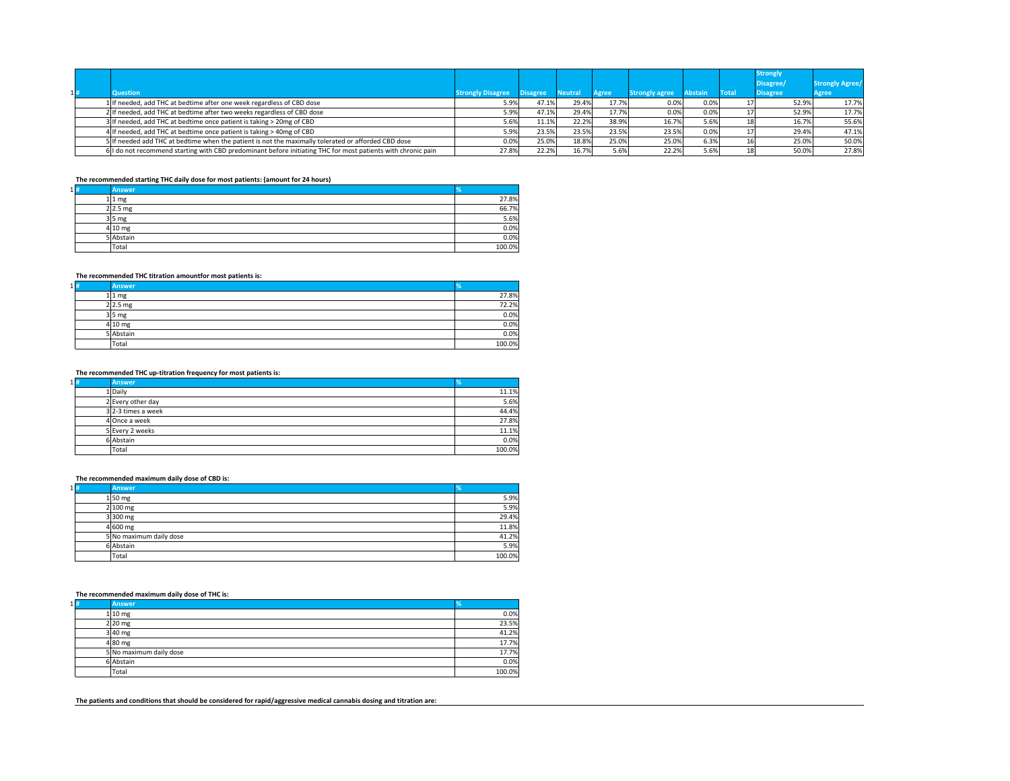| $1 $ # | <b>Question</b>                                                                                              | <b>Strongly Disagree</b> | <b>Disagree</b> | <b>Neutral</b> | <b>Agree</b> | <b>Strongly agree</b> | Abstain | <b>Total</b> | <b>Strongly</b><br>Disagree/<br><b>Disagree</b> | <b>Strongly Agree/</b><br><b>Agree</b> |
|--------|--------------------------------------------------------------------------------------------------------------|--------------------------|-----------------|----------------|--------------|-----------------------|---------|--------------|-------------------------------------------------|----------------------------------------|
|        | 1 If needed, add THC at bedtime after one week regardless of CBD dose                                        | 5.9%                     |                 | 29.4%          | 17.7%        | 0.0%                  | 0.0%    |              | 52.9%                                           | 17.7%                                  |
|        | 2 If needed, add THC at bedtime after two weeks regardless of CBD dose                                       | 5.9%                     | 47.1%           | 29.4%          | 17.7%        | 0.0%                  | 0.0%    |              | 52.9%                                           | 17.7%                                  |
|        | 3 If needed, add THC at bedtime once patient is taking > 20mg of CBD                                         | 5.6%                     | 11.1%           | 22.2%          | 38.9%        | 16.7%                 | 5.6%    |              | 16.7%                                           | 55.6%                                  |
|        | 4 If needed, add THC at bedtime once patient is taking > 40mg of CBD                                         | 5.9%                     | 23.5%           | 23.5%          | 23.5%        | 23.5%                 | 0.0%    |              | 29.4%                                           | 47.1%                                  |
|        | 5 If needed add THC at bedtime when the patient is not the maximally tolerated or afforded CBD dose          | $0.0\%$                  | 25.0%           | 18.8%          | 25.0%        | 25.0%                 | 6.3%    |              | 25.0%                                           | 50.0%                                  |
|        | 6 I do not recommend starting with CBD predominant before initiating THC for most patients with chronic pain | 27.8%                    | 22.2%           | 16.7%          | 5.6%         | 22.2%                 | 5.6%    | 181          | 50.0%                                           | 27.8%                                  |

### **The recommended starting THC daily dose for most patients: (amount for 24 hours)**

| $1 $ # | <b>Answer</b>     |        |
|--------|-------------------|--------|
|        | $1 1$ mg          | 27.8%  |
|        | $2 2.5$ mg        | 66.7%  |
|        | $3 5$ mg          | 5.6%   |
|        | $4 10 \text{ mg}$ | 0.0%   |
|        | 5 Abstain         | 0.0%   |
|        | Total             | 100.0% |

### **The recommended THC titration amountfor most patients is:**

| $1 $ # | <b>Answer</b> | 7ο     |
|--------|---------------|--------|
|        | $1 1$ mg      | 27.8%  |
|        | $2 2.5$ mg    | 72.2%  |
|        | $3 5$ mg      | 0.0%   |
|        | $4 10$ mg     | 0.0%   |
|        | 5 Abstain     | 0.0%   |
|        | Total         | 100.0% |

### **The recommended THC up-titration frequency for most patients is:**

| $1 $ # | <b>Answer</b>      | ٦ο     |
|--------|--------------------|--------|
|        | 1 Daily            | 11.1%  |
|        | 2 Every other day  | 5.6%   |
|        | 3 2-3 times a week | 44.4%  |
|        | 4 Once a week      | 27.8%  |
|        | 5 Every 2 weeks    | 11.1%  |
|        | 6 Abstain          | 0.0%   |
|        | Total              | 100.0% |

### **The recommended maximum daily dose of CBD is:**

| $1 $ # | <b>Answer</b>           | %      |
|--------|-------------------------|--------|
|        | $1\vert 50 \vert mg$    | 5.9%   |
|        | $2 100$ mg              | 5.9%   |
|        | $3 300$ mg              | 29.4%  |
|        | $4 600$ mg              | 11.8%  |
|        | 5 No maximum daily dose | 41.2%  |
|        | 6 Abstain               | 5.9%   |
|        | Total                   | 100.0% |

### **The recommended maximum daily dose of THC is:**

| $1 $ # | <b>Answer</b>           |        |
|--------|-------------------------|--------|
|        | $1 10 \text{ mg}$       | 0.0%   |
|        | $2 20$ mg               | 23.5%  |
|        | $3 40$ mg               | 41.2%  |
|        | $4 80$ mg               | 17.7%  |
|        | 5 No maximum daily dose | 17.7%  |
|        | 6 Abstain               | 0.0%   |
|        | Total                   | 100.0% |

**The patients and conditions that should be considered for rapid/aggressive medical cannabis dosing and titration are:**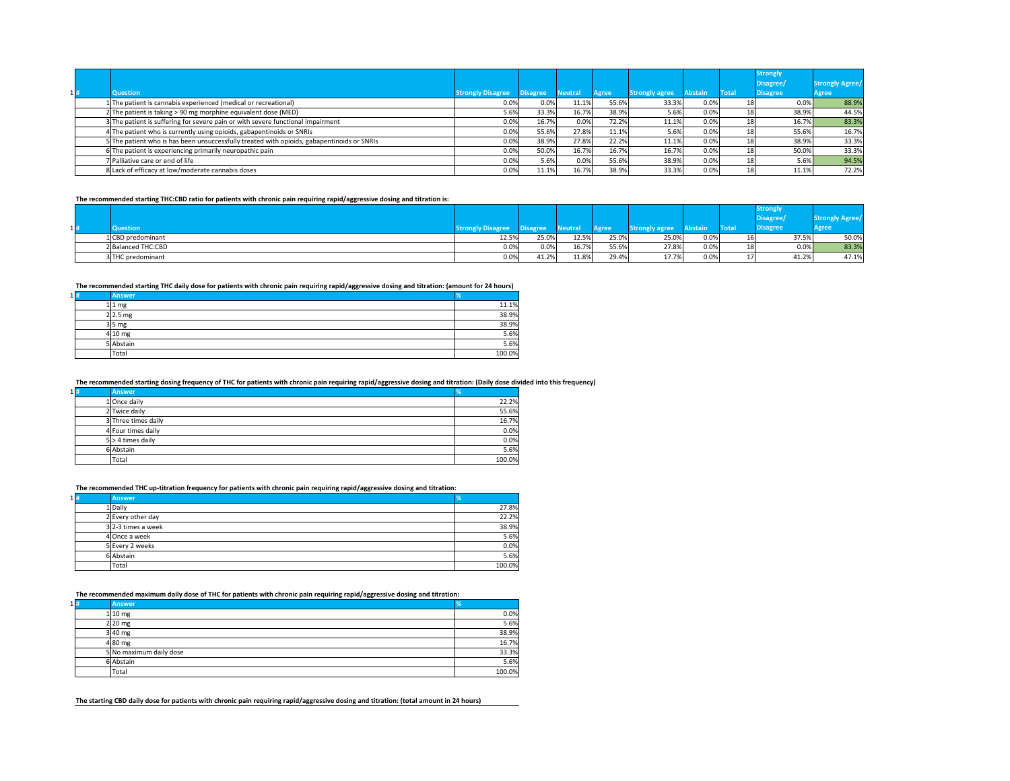|    |                                                                                            |                          |                 |                |              |                       |                |       | <b>Strongly</b> |                        |
|----|--------------------------------------------------------------------------------------------|--------------------------|-----------------|----------------|--------------|-----------------------|----------------|-------|-----------------|------------------------|
|    |                                                                                            |                          |                 |                |              |                       |                |       | Disagree/       | <b>Strongly Agree/</b> |
| 1H | Question                                                                                   | <b>Strongly Disagree</b> | <b>Disagree</b> | <b>Neutral</b> | <b>Agree</b> | <b>Strongly agree</b> | <b>Abstain</b> | Total | <b>Disagree</b> | <b>Agree</b>           |
|    | 1 The patient is cannabis experienced (medical or recreational)                            | 0.0%                     | 0.0%            | 11.1%          | 55.6%        | 33.3%                 | 0.0%           |       | 0.0%            | 88.9%                  |
|    | $2$ The patient is taking > 90 mg morphine equivalent dose (MED)                           | 5.6%                     | 33.3%           | 16.7%          | 38.9%        | 5.6%                  | 0.0%           |       | 38.9%           | 44.5%                  |
|    | 3 The patient is suffering for severe pain or with severe functional impairment            | 0.0%                     | 16.7%           | 0.0%           | 72.2%        | 11.1%                 | 0.0%           | 18I   | 16.7%           | 83.3%                  |
|    | 4 The patient who is currently using opioids, gabapentinoids or SNRIs                      | 0.0%                     | 55.6%           | 27.8%          | 11.1%        | 5.6%                  | 0.0%           |       | 55.6%           | 16.7%                  |
|    | 5 The patient who is has been unsuccessfully treated with opioids, gabapentinoids or SNRIs | 0.0%                     | 38.9%           | 27.8%          | 22.2%        | 11.1%                 | 0.0%           | 18I   | 38.9%           | 33.3%                  |
|    | 6 The patient is experiencing primarily neuropathic pain                                   | 0.0%                     | 50.0%           | 16.7%          | 16.7%        | 16.7%                 | 0.0%           |       | 50.0%           | 33.3%                  |
|    | 7 Palliative care or end of life                                                           | 0.0%                     | 5.6%            | 0.0%           | 55.6%        | 38.9%                 | 0.0%           |       | 5.6%            | 94.5%                  |
|    | 8 Lack of efficacy at low/moderate cannabis doses                                          | 0.0%                     | 11.1%           | 16.7%          | 38.9%        | 33.3%                 | 0.0%           |       | 11.1%           | 72.2%                  |

**The recommended starting THC:CBD ratio for patients with chronic pain requiring rapid/aggressive dosing and titration is:**

|  |                    |                          |          |                |              |                       |                |              | <b>Strongly</b> |              |
|--|--------------------|--------------------------|----------|----------------|--------------|-----------------------|----------------|--------------|-----------------|--------------|
|  |                    |                          |          |                |              |                       |                |              | Disagree/       | TRICCI       |
|  | <b>Question</b>    | <b>Strongly Disagree</b> | Disagree | <b>Neutral</b> | <b>Agree</b> | <b>Strongly agree</b> | <b>Abstain</b> | <b>Total</b> | Disagree        | <b>Agree</b> |
|  | 1 CBD predominant  | 12.5%                    | 25.0%    | 12.5%          | 25.0%        | 25.0%                 | 0.0%           | 16           | 37.5%           | 50.0%        |
|  | 2 Balanced THC:CBD | 0.0%                     | $0.0\%$  | 16.7%          | 55.6%        | 27.8%                 | 0.0%           | 18           | $0.0\%$         | 83.3%        |
|  | 3 THC predominant  | 0.0%                     | 41.2%    | 11.8%          | 29.4%        | 17.7%                 | 0.0%           | $1 -$        | 41.2%           | 47.1%        |

**The recommended starting THC daily dose for patients with chronic pain requiring rapid/aggressive dosing and titration: (amount for 24 hours)**

| $1 $ # | <b>Answer</b>     |        |
|--------|-------------------|--------|
|        | $1 1$ mg          | 11.1%  |
|        | $2 2.5$ mg        | 38.9%  |
|        | $3 5$ mg          | 38.9%  |
|        | $4 10 \text{ mg}$ | 5.6%   |
|        | 5 Abstain         | 5.6%   |
|        | Total             | 100.0% |

### **The recommended starting dosing frequency of THC for patients with chronic pain requiring rapid/aggressive dosing and titration: (Daily dose divided into this frequency)**

| $1 $ # | <b>Answer</b>       | %      |
|--------|---------------------|--------|
|        | $1$ Once daily      | 22.2%  |
|        | 2 Twice daily       | 55.6%  |
|        | 3 Three times daily | 16.7%  |
|        | 4 Four times daily  | 0.0%   |
|        | $5$ > 4 times daily | 0.0%   |
|        | 6 Abstain           | 5.6%   |
|        | Total               | 100.0% |

**The recommended THC up-titration frequency for patients with chronic pain requiring rapid/aggressive dosing and titration:**

| $1 $ # | <b>Answer</b>        |        |
|--------|----------------------|--------|
|        | 1 Daily              | 27.8%  |
|        | 2 Every other day    | 22.2%  |
|        | $3$ 2-3 times a week | 38.9%  |
|        | 4 Once a week        | 5.6%   |
|        | 5 Every 2 weeks      | 0.0%   |
|        | 6 Abstain            | 5.6%   |
|        | Total                | 100.0% |

**The recommended maximum daily dose of THC for patients with chronic pain requiring rapid/aggressive dosing and titration:**

| $1 $ # | <b>Answer</b>           | ℅      |
|--------|-------------------------|--------|
|        | $1 10$ mg               | 0.0%   |
|        | $2 20$ mg               | 5.6%   |
|        | $3 40$ mg               | 38.9%  |
|        | $4 80$ mg               | 16.7%  |
|        | 5 No maximum daily dose | 33.3%  |
|        | 6 Abstain               | 5.6%   |
|        | Total                   | 100.0% |

**The starting CBD daily dose for patients with chronic pain requiring rapid/aggressive dosing and titration: (total amount in 24 hours)**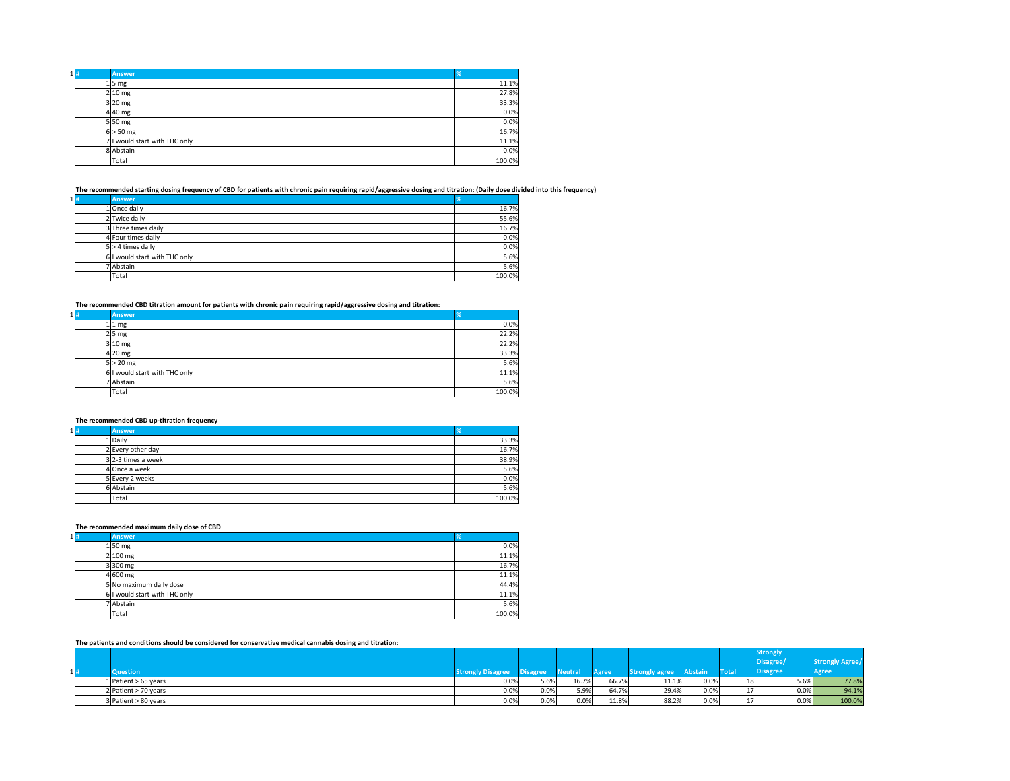| 1 # | <b>Answer</b>                 |        |
|-----|-------------------------------|--------|
|     | $1\overline{\smash{5}}$ mg    | 11.1%  |
|     | $2 10 \text{ mg}$             | 27.8%  |
|     | $3 20$ mg                     | 33.3%  |
|     | $4 40$ mg                     | 0.0%   |
|     | $5 50$ mg                     | 0.0%   |
|     | $6$ > 50 mg                   | 16.7%  |
|     | 7 I would start with THC only | 11.1%  |
|     | 8 Abstain                     | 0.0%   |
|     | Total                         | 100.0% |

**The recommended starting dosing frequency of CBD for patients with chronic pain requiring rapid/aggressive dosing and titration: (Daily dose divided into this frequency)**

| $1 $ # | <b>Answer</b>                 | $\frac{9}{6}$ |
|--------|-------------------------------|---------------|
|        | 1 Once daily                  | 16.7%         |
|        | 2 Twice daily                 | 55.6%         |
|        | 3 Three times daily           | 16.7%         |
|        | 4 Four times daily            | 0.0%          |
|        | $5$ > 4 times daily           | 0.0%          |
|        | 6 I would start with THC only | 5.6%          |
|        | 7 Abstain                     | 5.6%          |
|        | Total                         | 100.0%        |

**The recommended CBD titration amount for patients with chronic pain requiring rapid/aggressive dosing and titration:**

| $1 $ # | <b>Answer</b>                 | $\frac{9}{6}$ |
|--------|-------------------------------|---------------|
|        | $1 1$ mg                      | 0.0%          |
|        | $2 5 \text{ mg}$              | 22.2%         |
|        | $3 10$ mg                     | 22.2%         |
|        | $4 20$ mg                     | 33.3%         |
|        | $5 > 20$ mg                   | 5.6%          |
|        | 6 I would start with THC only | 11.1%         |
|        | 7 Abstain                     | 5.6%          |
|        | Total                         | 100.0%        |

### **The recommended CBD up-titration frequency**

| $1 $ # | <b>Answer</b>      |        |
|--------|--------------------|--------|
|        | 1 Daily            | 33.3%  |
|        | 2 Every other day  | 16.7%  |
|        | 3 2-3 times a week | 38.9%  |
|        | 4 Once a week      | 5.6%   |
|        | 5 Every 2 weeks    | 0.0%   |
|        | 6 Abstain          | 5.6%   |
|        | Total              | 100.0% |

### **The recommended maximum daily dose of CBD**

| $1 $ # | <b>Answer</b>                 | %      |
|--------|-------------------------------|--------|
|        | $1\vert 50 \vert mg$          | 0.0%   |
|        | $2 100 \text{ mg}$            | 11.1%  |
|        | $3 300$ mg                    | 16.7%  |
|        | $4 600$ mg                    | 11.1%  |
|        | 5 No maximum daily dose       | 44.4%  |
|        | 6 I would start with THC only | 11.1%  |
|        | 7 Abstain                     | 5.6%   |
|        | Total                         | 100.0% |

### **The patients and conditions should be considered for conservative medical cannabis dosing and titration:**

|                  |                        |                                             |          |         |              |                       |                |              | <b>Strongly</b> |                 |
|------------------|------------------------|---------------------------------------------|----------|---------|--------------|-----------------------|----------------|--------------|-----------------|-----------------|
|                  |                        |                                             |          |         |              |                       |                |              | Disagree        | n<br>שט ואיז עו |
| $\blacksquare$ # | <b>Question</b>        | rangly Dicagrap<br><b>Strongly Disagree</b> | Disagree | Neutral | <b>Agree</b> | <b>Strongly agree</b> | <b>Abstain</b> | <b>Total</b> | <b>Disagree</b> | Agree           |
|                  | 1 Patient $> 65$ years | 0.0%                                        | 5.6%     | 16.7%   | 66.7%        | 11.1%                 | 0.0%           | 18           | 5.6%            | 77.8%           |
|                  | $2$ Patient > 70 years | 0.0%                                        | 0.0%     | 5.9%    | 64.7%        | 29.4%                 | 0.0%           | $\pm$        | $0.0\%$         | 94.1%           |
|                  | $3$ Patient > 80 years | 0.0%                                        | 0.0%     | 0.0%    | 11.8%        | 88.2%                 | 0.0%           |              | 0.0%            | 100.0%          |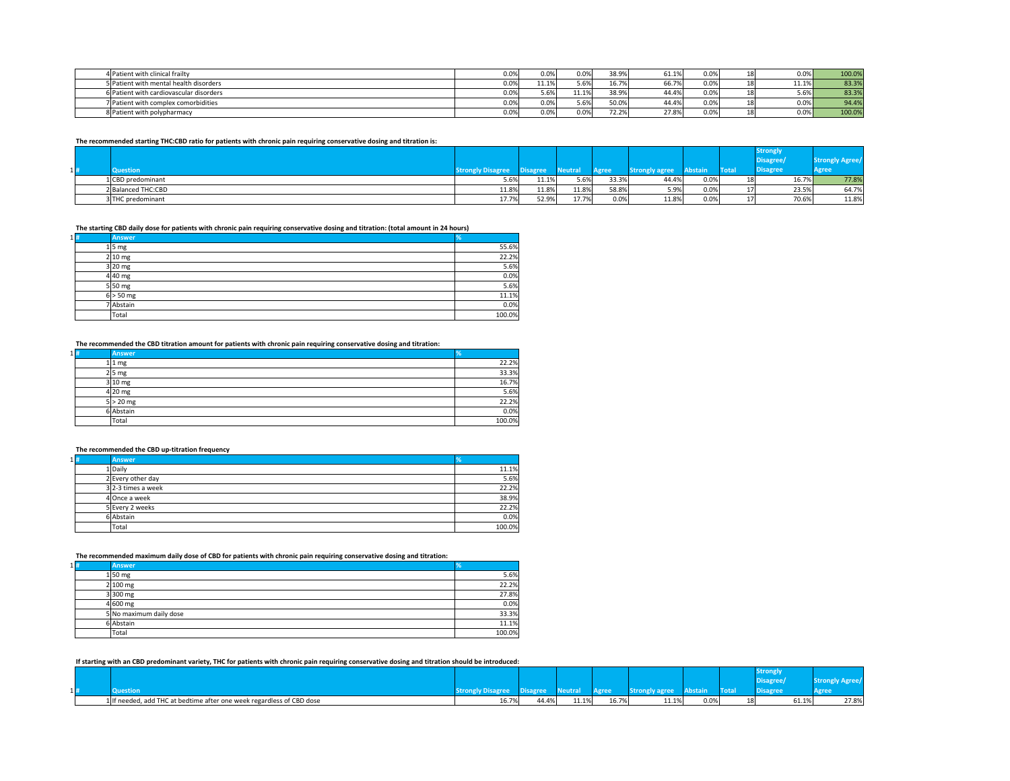| 4 Patient with clinical frailty         | 0.0%    | 0.0%  | 0.0%  | 38.9%          | 61.1% | 0.0% | 18              | 0.0%  | 100.0% |
|-----------------------------------------|---------|-------|-------|----------------|-------|------|-----------------|-------|--------|
| 5 Patient with mental health disorders  | 0.0%    | 11.1% | 5.6%  | 16.7%          | 66.7% | 0.0% | 18 <sub>l</sub> | 11.1% | 83.3%  |
| 6 Patient with cardiovascular disorders | $0.0\%$ | 5.6%  | 11.1% | 38.9%          | 44.4% | 0.0% | 18 <sub>1</sub> | 5.6%  | 83.3%  |
| 7 Patient with complex comorbidities    | 0.0%    | 0.0%  | 5.6%  | 50.0%          | 44.4% | 0.0% | 18              | 0.0%  | 94.4%  |
| 8 Patient with polypharmacy             | 0.0%    | 0.0%  | 0.0%  | 72.20<br>72.2% | 27.8% | 0.0% | 18              | 0.0%  | 100.0% |

**The recommended starting THC:CBD ratio for patients with chronic pain requiring conservative dosing and titration is:**

|        | in the contract of the property of the contract of the contract of the contract of the contract of the contract of the contract of the contract of the contract of the contract of the contract of the contract of the contrac |                          |                 |         |         |                       |                | <b>Strongly</b> |                             |                        |
|--------|--------------------------------------------------------------------------------------------------------------------------------------------------------------------------------------------------------------------------------|--------------------------|-----------------|---------|---------|-----------------------|----------------|-----------------|-----------------------------|------------------------|
| $1 $ # | <b>Question</b>                                                                                                                                                                                                                | <b>Strongly Disagree</b> | <b>Disagree</b> | leutral | Agree   | <b>Strongly agree</b> | <b>Abstain</b> | <b>Total</b>    | Disagree<br><b>Disagree</b> | <b>ARICE</b><br>'Agree |
|        | 1 CBD predominant                                                                                                                                                                                                              | 5.6%                     | 11.1%           | 5.6%    | 33.3%   | 44.4%                 | 0.0%           | 18              | 16.7%                       | 77.8%                  |
|        | 2 Balanced THC:CBD                                                                                                                                                                                                             | 11.8%                    | 11.8%           | 11.8%   | 58.8%   | 5.9%                  | 0.0%           | 17              | 23.5%                       | 64.7%                  |
|        | 3 THC predominant                                                                                                                                                                                                              | 17.7%                    | 52.9%           | 17.7%   | $0.0\%$ | 11.8%                 | 0.0%           | 17              | 70.6%                       | 11.8%                  |

**The starting CBD daily dose for patients with chronic pain requiring conservative dosing and titration: (total amount in 24 hours)**

| $1 $ # | <b>Answer</b>              | %      |
|--------|----------------------------|--------|
|        | $1\overline{\smash{5}}$ mg | 55.6%  |
|        | $2 10 \text{ mg}$          | 22.2%  |
|        | $3 20$ mg                  | 5.6%   |
|        | $4 40$ mg                  | 0.0%   |
|        | $5\vert 50 \vert mg$       | 5.6%   |
|        | $6 > 50$ mg                | 11.1%  |
|        | 7 Abstain                  | 0.0%   |
|        | Total                      | 100.0% |

**The recommended the CBD titration amount for patients with chronic pain requiring conservative dosing and titration:**

| $1 $ # | <b>Answer</b>    | ℅      |
|--------|------------------|--------|
|        | $1 1$ mg         | 22.2%  |
|        | $2 5 \text{ mg}$ | 33.3%  |
|        | $3 10$ mg        | 16.7%  |
|        | $4$  20 mg       | 5.6%   |
|        | $5 > 20$ mg      | 22.2%  |
|        | 6 Abstain        | 0.0%   |
|        | <b>Total</b>     | 100.0% |

**The recommended the CBD up-titration frequency**

| $1\vert\mathbf{f}\vert$ | <b>Answer</b>     | Y.     |
|-------------------------|-------------------|--------|
|                         | 1 Daily           | 11.1%  |
|                         | 2 Every other day | 5.6%   |
|                         | 32-3 times a week | 22.2%  |
|                         | 4 Once a week     | 38.9%  |
|                         | 5 Every 2 weeks   | 22.2%  |
|                         | 6 Abstain         | 0.0%   |
|                         | Total             | 100.0% |

**The recommended maximum daily dose of CBD for patients with chronic pain requiring conservative dosing and titration:**

| $1 $ # | <b>Answer</b>           | %      |
|--------|-------------------------|--------|
|        | $1 50$ mg               | 5.6%   |
|        | $2 100$ mg              | 22.2%  |
|        | $3 300$ mg              | 27.8%  |
|        | $4 600$ mg              | 0.0%   |
|        | 5 No maximum daily dose | 33.3%  |
|        | 6 Abstain               | 11.1%  |
|        | Total                   | 100.0% |

**If starting with an CBD predominant variety, THC for patients with chronic pain requiring conservative dosing and titration should be introduced:**

|      |                                                                       |       |       |                 |       |       |      |       | <b>Strongly</b>                                        |       |       |
|------|-----------------------------------------------------------------------|-------|-------|-----------------|-------|-------|------|-------|--------------------------------------------------------|-------|-------|
| 11 # | <b>Question</b>                                                       |       |       | <u>iveutidi</u> |       | 2+rr  |      | Total | <b><i>Nicocome</i></b><br>uisagi ee<br><b>Disagree</b> |       |       |
|      | 1 If needed, add THC at bedtime after one week regardless of CBD dose | 16.7% | 44.4% | 11.1%           | 16.7% | 11.1% | 0.0% | 18    |                                                        | 61.1% | 27.8% |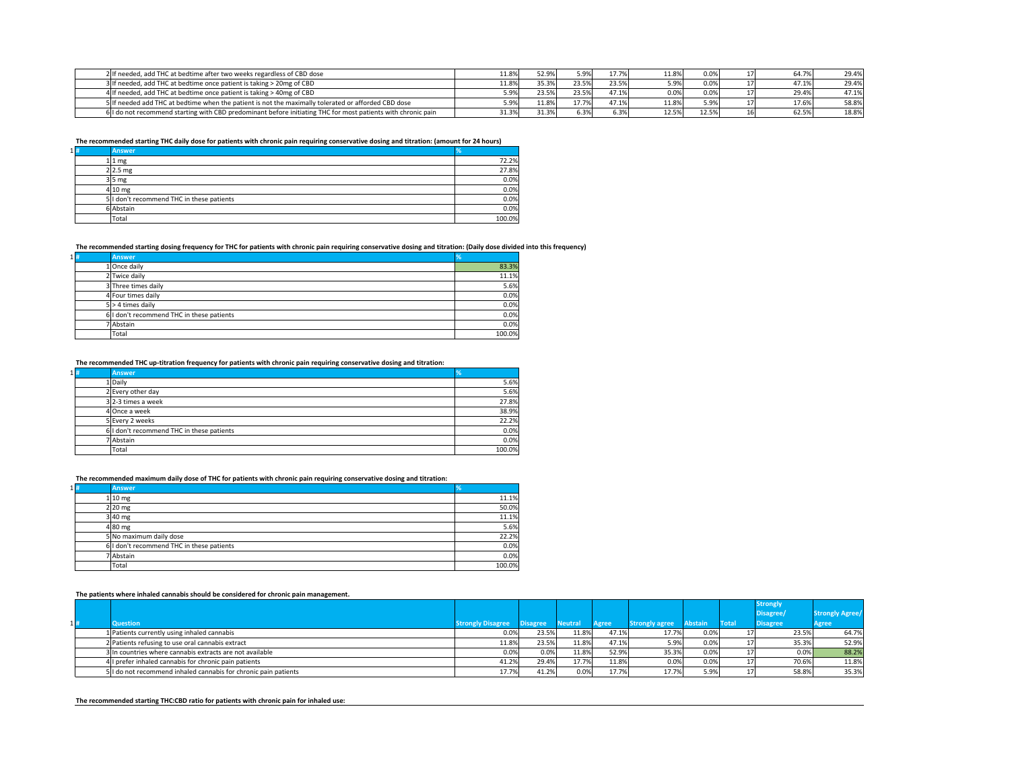| 2 If needed, add THC at bedtime after two weeks regardless of CBD dose                                       | $1.8\%$  | 52.9% | 5.9%  | 17.7% | 11.8% | 0.0%  |     | 64.7% | 29.4% |
|--------------------------------------------------------------------------------------------------------------|----------|-------|-------|-------|-------|-------|-----|-------|-------|
| 3 If needed, add THC at bedtime once patient is taking > 20mg of CBD                                         | $.1.8\%$ | 35.3% | 23.5% | 23.5% |       | 0.0%  |     | 47.1% | 29.4% |
| 4 If needed, add THC at bedtime once patient is taking > 40mg of CBD                                         | 5.9%     | 23.5% | 23.5% | 47.1% |       | 0.0%  |     | 29.4% | 47.1% |
| 5 If needed add THC at bedtime when the patient is not the maximally tolerated or afforded CBD dose          | r no/    | 11.8% | 17.7% | 47.1% | 11.8% | 5.9%  |     | 17.6% | 58.8% |
| 6 I do not recommend starting with CBD predominant before initiating THC for most patients with chronic pain | 31.3%    | 31.3% | 6.3%  | 6.3%  | 12.5% | 12.5% | 16I | 62.5% | 18.8% |

**The recommended starting THC daily dose for patients with chronic pain requiring conservative dosing and titration: (amount for 24 hours)**

| $1 $ # | <b>Answer</b>                             | Y.     |
|--------|-------------------------------------------|--------|
|        | $1 1$ mg                                  | 72.2%  |
|        | $2 2.5$ mg                                | 27.8%  |
|        | $3 5$ mg                                  | 0.0%   |
|        | $4 10 \text{ mg}$                         | 0.0%   |
|        | 5 I don't recommend THC in these patients | 0.0%   |
|        | 6 Abstain                                 | 0.0%   |
|        | Total                                     | 100.0% |

### **The recommended starting dosing frequency for THC for patients with chronic pain requiring conservative dosing and titration: (Daily dose divided into this frequency)**

| $1 $ # | <b>Answer</b>                             | %      |
|--------|-------------------------------------------|--------|
|        | 1 Once daily                              | 83.3%  |
|        | 2 Twice daily                             | 11.1%  |
|        | 3 Three times daily                       | 5.6%   |
|        | 4 Four times daily                        | 0.0%   |
|        | $5$ > 4 times daily                       | 0.0%   |
|        | 6 I don't recommend THC in these patients | 0.0%   |
|        | 7 Abstain                                 | 0.0%   |
|        | Total                                     | 100.0% |

**The recommended THC up-titration frequency for patients with chronic pain requiring conservative dosing and titration:**

| $1 $ # | <b>Answer</b>                             |        |
|--------|-------------------------------------------|--------|
|        | 1 Daily                                   | 5.6%   |
|        | 2 Every other day                         | 5.6%   |
|        | $3$  2-3 times a week                     | 27.8%  |
|        | 4 Once a week                             | 38.9%  |
|        | 5 Every 2 weeks                           | 22.2%  |
|        | 6 I don't recommend THC in these patients | 0.0%   |
|        | 7 Abstain                                 | 0.0%   |
|        | Total                                     | 100.0% |

**The recommended maximum daily dose of THC for patients with chronic pain requiring conservative dosing and titration:**

| $1 $ # | <b>Answer</b>                             | $\%$   |
|--------|-------------------------------------------|--------|
|        | $1 10 \text{ mg}$                         | 11.1%  |
|        | $2 20$ mg                                 | 50.0%  |
|        | $3 40$ mg                                 | 11.1%  |
|        | $4 80$ mg                                 | 5.6%   |
|        | 5 No maximum daily dose                   | 22.2%  |
|        | 6 I don't recommend THC in these patients | 0.0%   |
|        | 7 Abstain                                 | 0.0%   |
|        | Total                                     | 100.0% |

#### **The patients where inhaled cannabis should be considered for chronic pain management.**

|     |                                                                 |                          |                 |                |              |                       |         |              | <b>Strongly</b> |         |                        |
|-----|-----------------------------------------------------------------|--------------------------|-----------------|----------------|--------------|-----------------------|---------|--------------|-----------------|---------|------------------------|
|     |                                                                 |                          |                 |                |              |                       |         |              | Disagree/       |         | <b>Strongly Agree/</b> |
| 1 # | <b>Question</b>                                                 | <b>Strongly Disagree</b> | <b>Disagree</b> | <b>Neutral</b> | <b>Agree</b> | <b>Strongly agree</b> | Abstain | <b>Total</b> | <b>Disagree</b> |         | Agree                  |
|     | 1   Patients currently using inhaled cannabis                   | 0.0%                     | 23.5%           | 11.8%          | 47.1%        | 17.7%                 | 0.0%    |              |                 | 23.5%   | 64.7%                  |
|     | 2 Patients refusing to use oral cannabis extract                | 11.8%                    | 23.5%           | 11.8%          | 47.1%        | 5.9%                  | 0.0%    |              |                 | 35.3%   | 52.9%                  |
|     | 3 In countries where cannabis extracts are not available        | 0.0%                     | $0.0\%$         | 11.8%          | 52.9%        | 35.3%                 | 0.0%    |              |                 | $0.0\%$ | 88.2%                  |
|     | Il prefer inhaled cannabis for chronic pain patients            | 41.2%                    | 29.4%           | 17.7%          | 11.8%        | 0.0%                  | 0.0%    |              |                 | 70.6%   | 11.8%                  |
|     | 5 I do not recommend inhaled cannabis for chronic pain patients | 17.7%                    | 41.2%           | 0.0%           | 17.7%        | 17.7%                 | 5.9%    |              |                 | 58.8%   | 35.3%                  |

**The recommended starting THC:CBD ratio for patients with chronic pain for inhaled use:**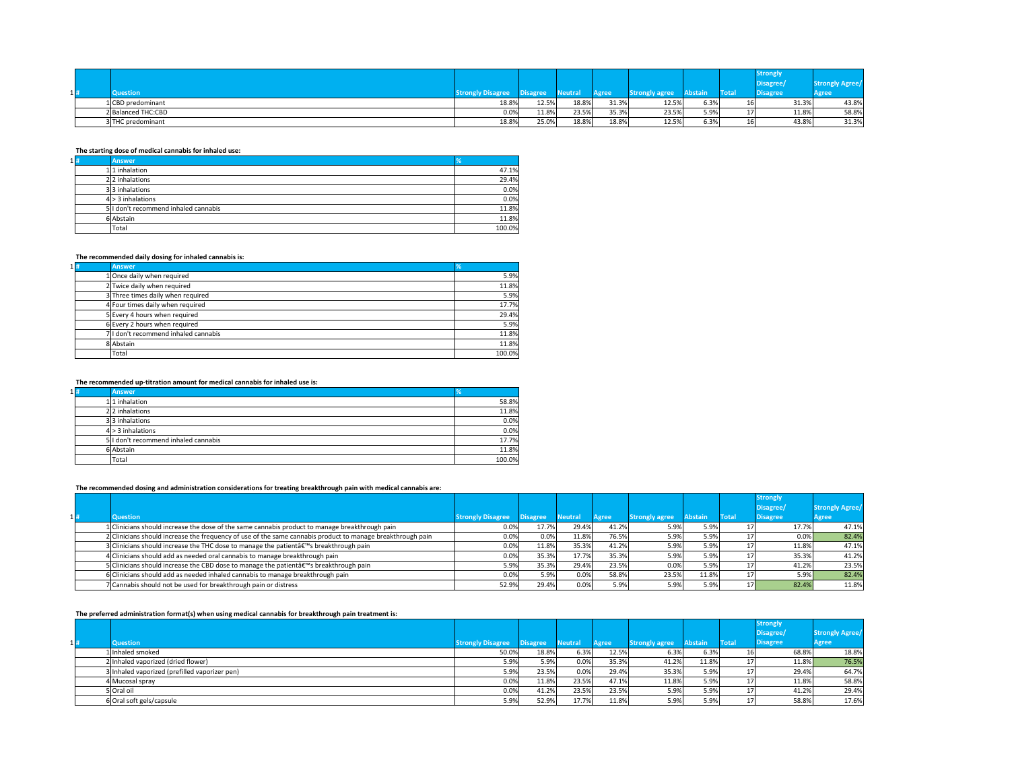|        |                    |                         |          |               |              |                       |                |              | Strongly<br>Disagree/ | $\Lambda$ <i><u>runn</u></i><br>SIY ARICE |
|--------|--------------------|-------------------------|----------|---------------|--------------|-----------------------|----------------|--------------|-----------------------|-------------------------------------------|
| $1 $ # | <b>Question</b>    | <b>Anongly Disagree</b> | Disagree | <b>Neutra</b> | <b>Agree</b> | <b>Strongly agree</b> | <b>Abstain</b> | <b>Total</b> | <b>Disagree</b>       | Agree                                     |
|        | 1 CBD predominant  | 18.8%                   | 12.5%    | 18.8%         | 31.3%        | 12.5%                 | 6.3%           | 16I          | 31.3%                 | 43.8%                                     |
|        | 2 Balanced THC:CBD | $0.0\%$                 | 11.8%    | 23.5%         | 35.3%        | 23.5%                 | 5.9%           | <b>L</b>     | 11.8%                 | 58.8%                                     |
|        | 3 THC predominant  | 18.8%                   | 25.0%    | 18.8%         | 18.8%        | 12.5%                 | 6.3%           | 16I          | 43.8%                 | 31.3%                                     |

### **The starting dose of medical cannabis for inhaled use:**

| $1 $ # | <b>Answer</b>                        | <b>Vo</b> |
|--------|--------------------------------------|-----------|
|        | $1 1$ inhalation                     | 47.1%     |
|        | $2 2$ inhalations                    | 29.4%     |
|        | 33 inhalations                       | 0.0%      |
|        | $4$ > 3 inhalations                  | 0.0%      |
|        | 5 I don't recommend inhaled cannabis | 11.8%     |
|        | 6 Abstain                            | 11.8%     |
|        | Total                                | 100.0%    |

### **The recommended daily dosing for inhaled cannabis is:**

| $1 $ # | <b>Answer</b>                        | ٧٥     |
|--------|--------------------------------------|--------|
|        | 1 Once daily when required           | 5.9%   |
|        | 2 Twice daily when required          | 11.8%  |
|        | 3 Three times daily when required    | 5.9%   |
|        | 4 Four times daily when required     | 17.7%  |
|        | 5 Every 4 hours when required        | 29.4%  |
|        | 6 Every 2 hours when required        | 5.9%   |
|        | 7 I don't recommend inhaled cannabis | 11.8%  |
|        | 8 Abstain                            | 11.8%  |
|        | Total                                | 100.0% |

# **The recommended up-titration amount for medical cannabis for inhaled use is:**

| $1 $ # | <b>Answer</b>                        | %      |
|--------|--------------------------------------|--------|
|        | $1 1$ inhalation                     | 58.8%  |
|        | 22 inhalations                       | 11.8%  |
|        | 33 inhalations                       | 0.0%   |
|        | $4$ > 3 inhalations                  | 0.0%   |
|        | 5 I don't recommend inhaled cannabis | 17.7%  |
|        | 6 Abstain                            | 11.8%  |
|        | Total                                | 100.0% |

### **The recommended dosing and administration considerations for treating breakthrough pain with medical cannabis are:**

| 1# | Question                                                                                                   | <b>Strongly Disagree</b> | <b>Disagree</b> | <b>Neutral</b> | <b>Agree</b> | <b>Strongly agree</b> | <b>Abstain</b> | <b>Total</b> | <b>Strongly</b><br>Disagree/<br><b>Disagree</b> | <b>Strongly Agree/</b><br>Agree |
|----|------------------------------------------------------------------------------------------------------------|--------------------------|-----------------|----------------|--------------|-----------------------|----------------|--------------|-------------------------------------------------|---------------------------------|
|    | 1 Clinicians should increase the dose of the same cannabis product to manage breakthrough pain             | 0.0%                     | 17.7%           | 29.4%          | 41.2%        | 5.9%                  | 5.9%           |              | 17.7%                                           | 47.1%                           |
|    | 2 Clinicians should increase the frequency of use of the same cannabis product to manage breakthrough pain | 0.0%                     | 0.0%            | 11.8%          | 76.5%        | 5.9%                  | 5.9%           |              | $0.0\%$                                         | 82.4%                           |
|    | 3 Clinicians should increase the THC dose to manage the patientâ€ <sup>™</sup> s breakthrough pain         | 0.0%                     | 11.8%           | 35.3%          | 41.2%        | 5.9%                  | 5.9%           |              | 11.8%                                           | 47.1%                           |
|    | 4 Clinicians should add as needed oral cannabis to manage breakthrough pain                                | 0.0%                     | 35.3%           | 17.7%          | 35.3%        | 5.9%                  | 5.9%           |              | 35.3%                                           | 41.2%                           |
|    | 5 Clinicians should increase the CBD dose to manage the patientâ€ <sup>™</sup> s breakthrough pain         | 5.9%                     | 35.3%           | 29.4%          | 23.5%        | 0.0%                  | 5.9%           |              | 41.2%                                           | 23.5%                           |
|    | 6 Clinicians should add as needed inhaled cannabis to manage breakthrough pain                             | 0.0%                     | 5.9%            | 0.0%           | 58.8%        | 23.5%                 | 11.8%          |              | $5.9\%$                                         | 82.4%                           |
|    | 7 Cannabis should not be used for breakthrough pain or distress                                            | 52.9%                    | 29.4%           | 0.0%           | 5.9%         | 5.9%                  | 5.9%           | 17I          | 82.4%                                           | 11.8%                           |

#### **The preferred administration format(s) when using medical cannabis for breakthrough pain treatment is:**

|     | .<br>$\sim$ .                                 |                          |                 |                |              |                       |                |              | <b>Strongly</b> |                        |       |
|-----|-----------------------------------------------|--------------------------|-----------------|----------------|--------------|-----------------------|----------------|--------------|-----------------|------------------------|-------|
|     |                                               |                          |                 |                |              |                       |                |              | Disagree/       | <b>Strongly Agree/</b> |       |
| 1 # | <b>Question</b>                               | <b>Strongly Disagree</b> | <b>Disagree</b> | <b>Neutral</b> | <b>Agree</b> | <b>Strongly agree</b> | <b>Abstain</b> | <b>Total</b> | <b>Disagree</b> | <b>Agree</b>           |       |
|     | 1 Inhaled smoked                              | 50.0%                    | 18.8%           | 6.3%           | 12.5%        | 6.3%                  | 6.3%           |              |                 | 68.8%                  | 18.8% |
|     | 2 Inhaled vaporized (dried flower)            | 5.9%                     | 5.9%            | 0.0%           | 35.3%        | 41.2%                 | 11.8%          | ᅩ            |                 | 11.8%                  | 76.5% |
|     | 3 Inhaled vaporized (prefilled vaporizer pen) | 5.9%                     | 23.5%           | 0.0%           | 29.4%        | 35.3%                 | 5.9%           |              |                 | 29.4%                  | 64.7% |
|     | 4 Mucosal spray                               | 0.0%                     | 11.8%           | 23.5%          | 47.1%        | 11.8%                 | 5.9%           |              |                 | 11.8%                  | 58.8% |
|     | 5 Oral oil                                    | 0.0%                     | 41.2%           | 23.5%          | 23.5%        | 5.9%                  | 5.9%           |              |                 | 41.2%                  | 29.4% |
|     | 6 Oral soft gels/capsule                      | 5.9%                     | 52.9%           | 17.7%          | 11.8%        | 5.9%                  | 5.9%           | <b>L</b>     |                 | 58.8%                  | 17.6% |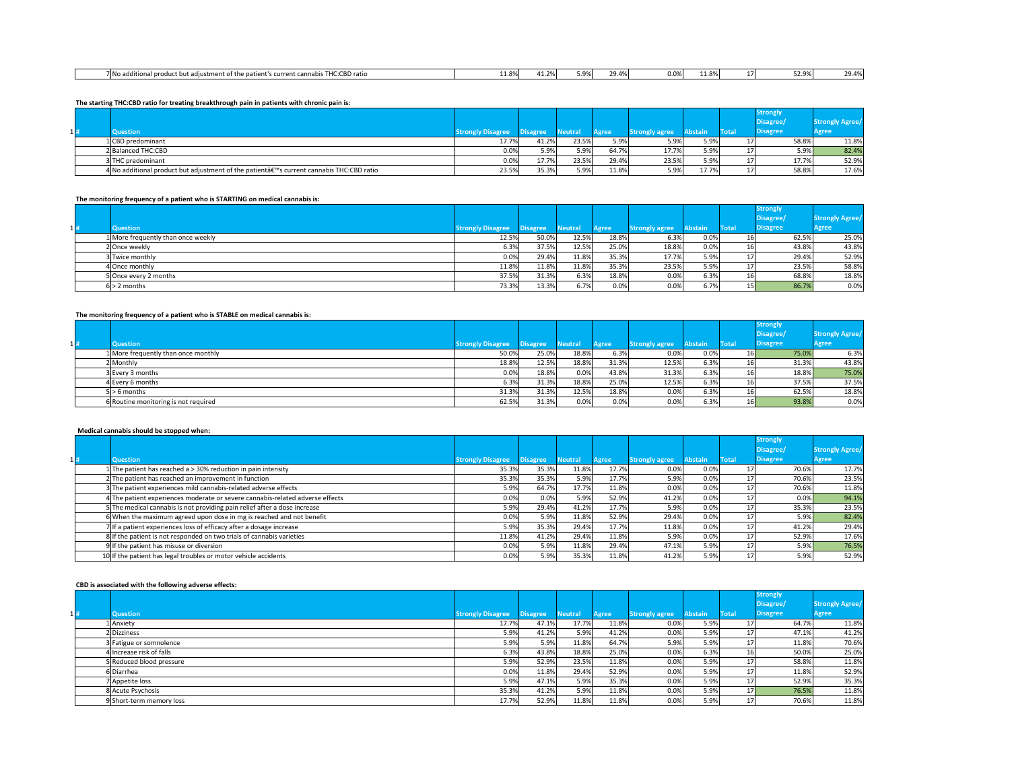| T112.000<br>7INo add<br>CBD ratio<br>.<br>uonal proc<br>`diustm∈<br>. patier1<br>- 3 + + h +<br>t's current cannabis<br>.et ht | $\sim$ | - - -<br>.<br>---- | $\sim$ $\sim$ $\sim$<br>ZY.470' | 0.0% | $\sim$<br>א ו<br>---- | - 71 | ו ⁄סח ר<br><b>JZ.J/0</b> | 29 A.O<br>. |
|--------------------------------------------------------------------------------------------------------------------------------|--------|--------------------|---------------------------------|------|-----------------------|------|--------------------------|-------------|
|                                                                                                                                |        |                    |                                 |      |                       |      |                          |             |

**The starting THC:CBD ratio for treating breakthrough pain in patients with chronic pain is:**

|        |                                                                                        |                          |                 |                |              |                       |                |              | <b>Strongly</b> |       |                 |
|--------|----------------------------------------------------------------------------------------|--------------------------|-----------------|----------------|--------------|-----------------------|----------------|--------------|-----------------|-------|-----------------|
|        |                                                                                        |                          |                 |                |              |                       |                |              | Disagree/       |       | Strongly Agree/ |
| $1 $ # | <b>Question</b>                                                                        | <b>Strongly Disagree</b> | <b>Disagree</b> | <b>Neutral</b> | <b>Agree</b> | <b>Strongly agree</b> | <b>Abstain</b> | <b>Total</b> | <b>Disagree</b> | Agree |                 |
|        | 1 CBD predominant                                                                      | 17.7%                    | 41.2%           | 23.5%          | 5.9%         | 5.9%                  | 5.9%           |              |                 | 58.8% | 11.8%           |
|        | 2 Balanced THC:CBD                                                                     | 0.0%                     | 5.9%            | 5.9%           | 64.7%        | 17.7%                 | 5.9%           |              |                 | 5.9%  | 82.4%           |
|        | 3 THC predominant                                                                      | 0.0%                     | 17.7%           | 23.5%          | 29.4%        | 23.5%                 | 5.9%           |              |                 | 17.7% | 52.9%           |
|        | 4 No additional product but adjustment of the patient's current cannabis THC:CBD ratio | 23.5%                    | 35.3%           | 5.9%           | 11.8%        | 5.9%                  | 17.7%          |              |                 | 58.8% | 17.6%           |

### **The monitoring frequency of a patient who is STARTING on medical cannabis is:**

|     |                                    |                          |                 |                |              |                       |                |                 | <b>Strongly</b><br>Disagree/ | <b>Strongly Agree/</b> |
|-----|------------------------------------|--------------------------|-----------------|----------------|--------------|-----------------------|----------------|-----------------|------------------------------|------------------------|
| 1 # | <b>Question</b>                    | <b>Strongly Disagree</b> | <b>Disagree</b> | <b>Neutral</b> | <b>Agree</b> | <b>Strongly agree</b> | <b>Abstain</b> | <b>Total</b>    | <b>Disagree</b>              | Agree                  |
|     | 1 More frequently than once weekly | 12.5%                    | 50.0%           | 12.5%          | 18.8%        | 6.3%                  | 0.0%           |                 | 62.5%                        | 25.0%                  |
|     | 2 Once weekly                      | 6.3%                     | 37.5%           | 12.5%          | 25.0%        | 18.8%                 | 0.0%           | TPI             | 43.8%                        | 43.8%                  |
|     | 3 Twice monthly                    | 0.0%                     | 29.4%           | 11.8%          | 35.3%        | 17.7%                 | 5.9%           |                 | 29.4%                        | 52.9%                  |
|     | 4 Once monthly                     | 11.8%                    | 11.8%           | 11.8%          | 35.3%        | 23.5%                 | 5.9%           |                 | 23.5%                        | 58.8%                  |
|     | 5 Once every 2 months              | 37.5%                    | 31.3%           | 6.3%           | 18.8%        | 0.0%                  | 6.3%           |                 | 68.8%                        | 18.8%                  |
|     | 6 > 2 months                       | 73.3%                    | 13.3%           | 6.7%           | 0.0%         | 0.0%                  | 6.7%           | 15 <sub>l</sub> | 86.7%                        | 0.0%                   |

#### **The monitoring frequency of a patient who is STABLE on medical cannabis is:**

|    |                                      |                          |                 |                |              |                       |                |              | <b>Strongly</b><br>Disagree/ | <b>Strongly Agree/</b> |
|----|--------------------------------------|--------------------------|-----------------|----------------|--------------|-----------------------|----------------|--------------|------------------------------|------------------------|
| 1# | <b>Question</b>                      | <b>Strongly Disagree</b> | <b>Disagree</b> | <b>Neutral</b> | <b>Agree</b> | <b>Strongly agree</b> | <b>Abstain</b> | <b>Total</b> | <b>Disagree</b>              | <b>Agree</b>           |
|    | 1 More frequently than once monthly  | 50.0%                    | 25.0%           | 18.8%          | 6.3%         | 0.0%                  | 0.0%           | 16I          | 75.0%                        | 6.3%                   |
|    | Monthly!                             | 18.8%                    | 12.5%           | 18.8%          | 31.3%        | 12.5%                 | 6.3%           |              | 31.3%                        | 43.8%                  |
|    | 3 Every 3 months                     | 0.0%                     | 18.8%           | 0.0%           | 43.8%        | 31.3%                 | 6.3%           |              | 18.8%                        | 75.0%                  |
|    | 4 Every 6 months                     | 6.3%                     | 31.3%           | 18.8%          | 25.0%        | 12.5%                 | 6.3%           |              | 37.5%                        | 37.5%                  |
|    | i  > 6 months                        | 31.3%                    | 31.3%           | 12.5%          | 18.8%        | 0.0%                  | 6.3%           |              | 62.5%                        | 18.8%                  |
|    | 6 Routine monitoring is not required | 62.5%                    | 31.3%           | 0.0%           | 0.0%         | 0.0%                  | 6.3%           | 16           | 93.8%                        | 0.0%                   |

#### **Medical cannabis should be stopped when:**

|        | <b>INCRICAL CALLIANIS SHOWIG NC SCOPPCG WITCHI.</b>                          |                          |                 |                |              |                       |         |              | <b>Strongly</b> |       |                        |
|--------|------------------------------------------------------------------------------|--------------------------|-----------------|----------------|--------------|-----------------------|---------|--------------|-----------------|-------|------------------------|
|        |                                                                              |                          |                 |                |              |                       |         |              | Disagree/       |       | <b>Strongly Agree/</b> |
| $1 $ # | <b>Question</b>                                                              | <b>Strongly Disagree</b> | <b>Disagree</b> | <b>Neutral</b> | <b>Agree</b> | <b>Strongly agree</b> | Abstain | <b>Total</b> | <b>Disagree</b> | Agree |                        |
|        | 1 The patient has reached a $>$ 30% reduction in pain intensity              | 35.3%                    | 35.3%           | 11.8%          | 17.7%        | 0.0%                  | 0.0%    |              |                 | 70.6% | 17.7%                  |
|        | 2The patient has reached an improvement in function                          | 35.3%                    | 35.3%           | 5.9%           | 17.7%        | 5.9%                  | 0.0%    |              |                 | 70.6% | 23.5%                  |
|        | 3The patient experiences mild cannabis-related adverse effects               | 5.9%                     | 64.7%           | 17.7%          | 11.8%        | 0.0%                  | 0.0%    |              |                 | 70.6% | 11.8%                  |
|        | 4The patient experiences moderate or severe cannabis-related adverse effects | 0.0%                     | 0.0%            | 5.9%           | 52.9%        | 41.2%                 | 0.0%    |              |                 | 0.0%  | 94.1%                  |
|        | 5The medical cannabis is not providing pain relief after a dose increase     | 5.9%                     | 29.4%           | 41.2%          | 17.7%        | 5.9%                  | 0.0%    | 17           |                 | 35.3% | 23.5%                  |
|        | 6 When the maximum agreed upon dose in mg is reached and not benefit         | 0.0%                     | 5.9%            | 11.8%          | 52.9%        | 29.4%                 | 0.0%    |              |                 | 5.9%  | 82.4%                  |
|        | 7 If a patient experiences loss of efficacy after a dosage increase          | 5.9%                     | 35.3%           | 29.4%          | 17.7%        | 11.8%                 | 0.0%    |              |                 | 41.2% | 29.4%                  |
|        | 8 If the patient is not responded on two trials of cannabis varieties        | 11.8%                    | 41.2%           | 29.4%          | 11.8%        | 5.9%                  | 0.0%    |              |                 | 52.9% | 17.6%                  |
|        | 9 If the patient has misuse or diversion                                     | 0.0%                     | 5.9%            | 11.8%          | 29.4%        | 47.1%                 | 5.9%    |              |                 | 5.9%  | 76.5%                  |
|        | 10 If the patient has legal troubles or motor vehicle accidents              | 0.0%                     | 5.9%            | 35.3%          | 11.8%        | 41.2%                 | 5.9%    |              |                 | 5.9%  | 52.9%                  |

### **CBD is associated with the following adverse effects:**

|        |                          |                          |                 |                |              |                       |                |                 | <b>Strongly</b> |                        |
|--------|--------------------------|--------------------------|-----------------|----------------|--------------|-----------------------|----------------|-----------------|-----------------|------------------------|
|        |                          |                          |                 |                |              |                       |                |                 | Disagree/       | <b>Strongly Agree/</b> |
| $1 $ # | <b>Question</b>          | <b>Strongly Disagree</b> | <b>Disagree</b> | <b>Neutral</b> | <b>Agree</b> | <b>Strongly agree</b> | <b>Abstain</b> | <b>Total</b>    | <b>Disagree</b> | <b>Agree</b>           |
|        | 1 Anxiety                | 17.7%                    | 47.1%           | 17.7%          | 11.8%        | 0.0%                  | 5.9%           |                 | 64.7%           | 11.8%                  |
|        | 2Dizziness               | 5.9%                     | 41.2%           | 5.9%           | 41.2%        | 0.0%                  | 5.9%           |                 | 47.1%           | 41.2%                  |
|        | 3 Fatigue or somnolence  | 5.9%                     | 5.9%            | 11.8%          | 64.7%        | 5.9%                  | 5.9%           |                 | 11.8%           | 70.6%                  |
|        | 4 Increase risk of falls | 6.3%                     | 43.8%           | 18.8%          | 25.0%        | 0.0%                  | 6.3%           | 16              | 50.0%           | 25.0%                  |
|        | 5 Reduced blood pressure | 5.9%                     | 52.9%           | 23.5%          | 11.8%        | 0.0%                  | 5.9%           |                 | 58.8%           | 11.8%                  |
|        | 6Diarrhea                | 0.0%                     | 11.8%           | 29.4%          | 52.9%        | 0.0%                  | 5.9%           | 17 <sup>1</sup> | 11.8%           | 52.9%                  |
|        | 7 Appetite loss          | 5.9%                     | 47.1%           | 5.9%           | 35.3%        | 0.0%                  | 5.9%           | $\perp$         | 52.9%           | 35.3%                  |
|        | 8 Acute Psychosis        | 35.3%                    | 41.2%           | 5.9%           | 11.8%        | 0.0%                  | 5.9%           | 17 <sup>1</sup> | 76.5%           | 11.8%                  |
|        | 9 Short-term memory loss | 17.7%                    | 52.9%           | 11.8%          | 11.8%        | 0.0%                  | 5.9%           | 17              | 70.6%           | 11.8%                  |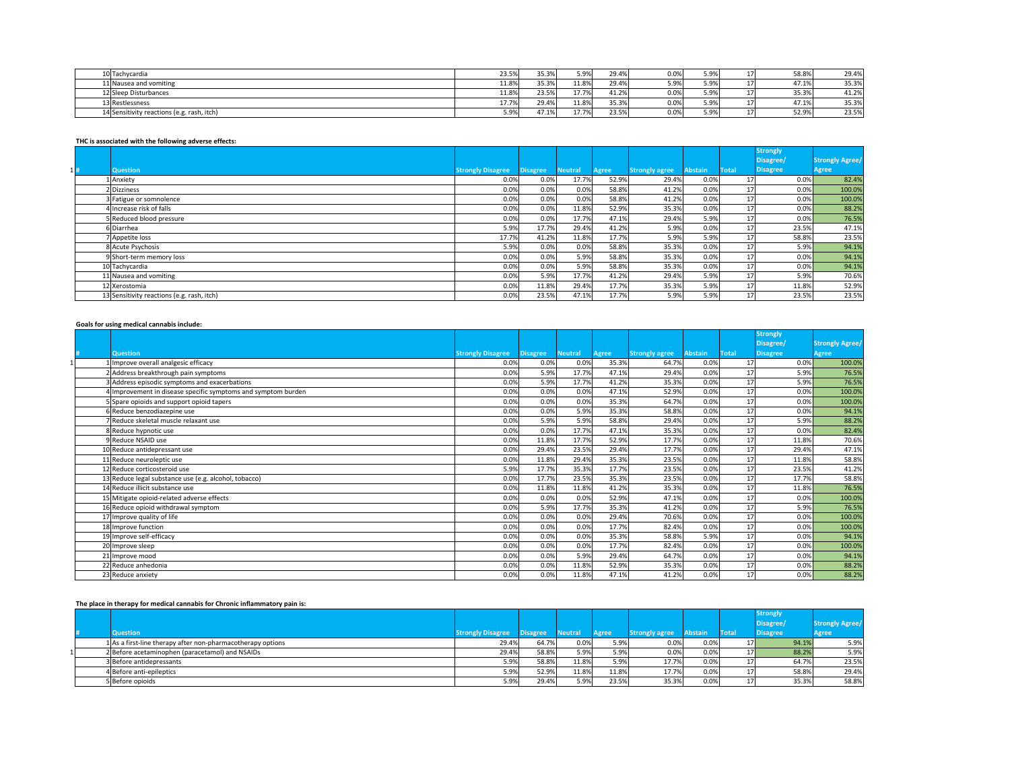| 10 Tachycardia                             | 23.5% | 35.3% | 5.9%  | 29.4% | 0.0%                                               | 5.9% | 58.8% | 29.4% |
|--------------------------------------------|-------|-------|-------|-------|----------------------------------------------------|------|-------|-------|
| 11 Nausea and vomiting                     | 11.8% | 35.3% | 11.8% | 29.4% | $-$ Q <sub>0</sub> $\lambda$ <sub>1</sub><br>J.J/L | 5.9% | 47.1% | 35.3% |
| 12 Sleep Disturbances                      | 11.8% | 23.5% | 17.7% | 41.2% | 0.0%                                               | 5.9% | 35.3% | 41.2% |
| 13 Restlessness                            | 17.7% | 29.4% | 11.8% | 35.3% | 0.0%                                               | 5.9% | 47.1% | 35.3% |
| 14 Sensitivity reactions (e.g. rash, itch) | 5.9%  | 47.1% | 17.7% | 23.5% | 0.0%                                               | 5.9% | 52.9% | 23.5% |

### **THC is associated with the following adverse effects:**

|    |                                            |                          |                 |                |              |                       |                |              | <b>Strongly</b> |                        |
|----|--------------------------------------------|--------------------------|-----------------|----------------|--------------|-----------------------|----------------|--------------|-----------------|------------------------|
|    |                                            |                          |                 |                |              |                       |                |              | Disagree/       | <b>Strongly Agree/</b> |
| 1# | <b>Question</b>                            | <b>Strongly Disagree</b> | <b>Disagree</b> | <b>Neutral</b> | <b>Agree</b> | <b>Strongly agree</b> | <b>Abstain</b> | <b>Total</b> | <b>Disagree</b> | <b>Agree</b>           |
|    | 1 Anxiety                                  | 0.0%                     | 0.0%            | 17.7%          | 52.9%        | 29.4%                 | 0.0%           | 17           | $0.0\%$         | 82.4%                  |
|    | 2Dizziness                                 | 0.0%                     | 0.0%            | 0.0%           | 58.8%        | 41.2%                 | 0.0%           | 17           | 0.0%            | 100.0%                 |
|    | 3 Fatigue or somnolence                    | 0.0%                     | 0.0%            | 0.0%           | 58.8%        | 41.2%                 | 0.0%           | 17           | $0.0\%$         | 100.0%                 |
|    | Increase risk of falls                     | 0.0%                     | 0.0%            | 11.8%          | 52.9%        | 35.3%                 | 0.0%           | 17           | $0.0\%$         | 88.2%                  |
|    | 5 Reduced blood pressure                   | 0.0%                     | 0.0%            | 17.7%          | 47.1%        | 29.4%                 | 5.9%           | 17           | $0.0\%$         | 76.5%                  |
|    | 6Diarrhea                                  | 5.9%                     | 17.7%           | 29.4%          | 41.2%        | 5.9%                  | 0.0%           | 17           | 23.5%           | 47.1%                  |
|    | 7 Appetite loss                            | 17.7%                    | 41.2%           | 11.8%          | 17.7%        | 5.9%                  | 5.9%           | 17           | 58.8%           | 23.5%                  |
|    | 8 Acute Psychosis                          | 5.9%                     | 0.0%            | 0.0%           | 58.8%        | 35.3%                 | 0.0%           | 17           | 5.9%            | 94.1%                  |
|    | 9 Short-term memory loss                   | 0.0%                     | 0.0%            | 5.9%           | 58.8%        | 35.3%                 | 0.0%           | 17           | 0.0%            | 94.1%                  |
|    | 10 Tachycardia                             | 0.0%                     | 0.0%            | 5.9%           | 58.8%        | 35.3%                 | 0.0%           | 17           | $0.0\%$         | 94.1%                  |
|    | 11 Nausea and vomiting                     | 0.0%                     | 5.9%            | 17.7%          | 41.2%        | 29.4%                 | 5.9%           | 17           | 5.9%            | 70.6%                  |
|    | 12 Xerostomia                              | 0.0%                     | 11.8%           | 29.4%          | 17.7%        | 35.3%                 | 5.9%           | 17           | 11.8%           | 52.9%                  |
|    | 13 Sensitivity reactions (e.g. rash, itch) | 0.0%                     | 23.5%           | 47.1%          | 17.7%        | 5.9%                  | 5.9%           | 17           | 23.5%           | 23.5%                  |

#### **Goals for using medical cannabis include:**

|                                                               |                          |                 |                |              |                       |                |              | <b>Strongly</b> |                        |
|---------------------------------------------------------------|--------------------------|-----------------|----------------|--------------|-----------------------|----------------|--------------|-----------------|------------------------|
|                                                               |                          |                 |                |              |                       |                |              | Disagree/       | <b>Strongly Agree/</b> |
| <b>Question</b>                                               | <b>Strongly Disagree</b> | <b>Disagree</b> | <b>Neutral</b> | <b>Agree</b> | <b>Strongly agree</b> | <b>Abstain</b> | <b>Total</b> | <b>Disagree</b> | <b>Agree</b>           |
| 1 Improve overall analgesic efficacy                          | 0.0%                     | 0.0%            | 0.0%           | 35.3%        | 64.7%                 | 0.0%           | 17           | 0.0%            | 100.0%                 |
| 2 Address breakthrough pain symptoms                          | 0.0%                     | 5.9%            | 17.7%          | 47.1%        | 29.4%                 | 0.0%           | 17           | 5.9%            | 76.5%                  |
| 3 Address episodic symptoms and exacerbations                 | 0.0%                     | 5.9%            | 17.7%          | 41.2%        | 35.3%                 | 0.0%           | 17           | 5.9%            | 76.5%                  |
| 4 Improvement in disease specific symptoms and symptom burden | 0.0%                     | 0.0%            | 0.0%           | 47.1%        | 52.9%                 | 0.0%           | 17           | 0.0%            | 100.0%                 |
| 5 Spare opioids and support opioid tapers                     | 0.0%                     | 0.0%            | 0.0%           | 35.3%        | 64.7%                 | 0.0%           | 17           | 0.0%            | 100.0%                 |
| 6 Reduce benzodiazepine use                                   | 0.0%                     | 0.0%            | 5.9%           | 35.3%        | 58.8%                 | 0.0%           | 17           | 0.0%            | 94.1%                  |
| 7Reduce skeletal muscle relaxant use                          | 0.0%                     | 5.9%            | 5.9%           | 58.8%        | 29.4%                 | 0.0%           | 17           | 5.9%            | 88.2%                  |
| 8 Reduce hypnotic use                                         | 0.0%                     | 0.0%            | 17.7%          | 47.1%        | 35.3%                 | 0.0%           | 17           | 0.0%            | 82.4%                  |
| 9Reduce NSAID use                                             | 0.0%                     | 11.8%           | 17.7%          | 52.9%        | 17.7%                 | 0.0%           | 17           | 11.8%           | 70.6%                  |
| 10 Reduce antidepressant use                                  | 0.0%                     | 29.4%           | 23.5%          | 29.4%        | 17.7%                 | 0.0%           | 17           | 29.4%           | 47.1%                  |
| 11 Reduce neuroleptic use                                     | 0.0%                     | 11.8%           | 29.4%          | 35.3%        | 23.5%                 | 0.0%           | 17           | 11.8%           | 58.8%                  |
| 12 Reduce corticosteroid use                                  | 5.9%                     | 17.7%           | 35.3%          | 17.7%        | 23.5%                 | 0.0%           | 17           | 23.5%           | 41.2%                  |
| 13 Reduce legal substance use (e.g. alcohol, tobacco)         | 0.0%                     | 17.7%           | 23.5%          | 35.3%        | 23.5%                 | 0.0%           | 17           | 17.7%           | 58.8%                  |
| 14 Reduce illicit substance use                               | 0.0%                     | 11.8%           | 11.8%          | 41.2%        | 35.3%                 | 0.0%           | 17           | 11.8%           | 76.5%                  |
| 15 Mitigate opioid-related adverse effects                    | 0.0%                     | 0.0%            | 0.0%           | 52.9%        | 47.1%                 | 0.0%           | 17           | 0.0%            | 100.0%                 |
| 16 Reduce opioid withdrawal symptom                           | 0.0%                     | 5.9%            | 17.7%          | 35.3%        | 41.2%                 | 0.0%           | 17           | 5.9%            | 76.5%                  |
| 17 Improve quality of life                                    | 0.0%                     | 0.0%            | 0.0%           | 29.4%        | 70.6%                 | 0.0%           | 17           | 0.0%            | 100.0%                 |
| 18 Improve function                                           | 0.0%                     | 0.0%            | 0.0%           | 17.7%        | 82.4%                 | 0.0%           | 17           | 0.0%            | 100.0%                 |
| 19 Improve self-efficacy                                      | 0.0%                     | 0.0%            | 0.0%           | 35.3%        | 58.8%                 | 5.9%           | 17           | 0.0%            | 94.1%                  |
| 20 Improve sleep                                              | 0.0%                     | 0.0%            | 0.0%           | 17.7%        | 82.4%                 | 0.0%           | 17           | 0.0%            | 100.0%                 |
| 21 Improve mood                                               | 0.0%                     | 0.0%            | 5.9%           | 29.4%        | 64.7%                 | 0.0%           | 17           | 0.0%            | 94.1%                  |
| 22 Reduce anhedonia                                           | 0.0%                     | 0.0%            | 11.8%          | 52.9%        | 35.3%                 | 0.0%           | 17           | 0.0%            | 88.2%                  |
| 23 Reduce anxiety                                             | 0.0%                     | 0.0%            | 11.8%          | 47.1%        | 41.2%                 | 0.0%           | 17           | 0.0%            | 88.2%                  |

# **The place in therapy for medical cannabis for Chronic inflammatory pain is:**

|                                                             |                          |                 |                |              |                       |         |                 | <b>Strongly</b> |                        |
|-------------------------------------------------------------|--------------------------|-----------------|----------------|--------------|-----------------------|---------|-----------------|-----------------|------------------------|
|                                                             |                          |                 |                |              |                       |         |                 | Disagree/       | <b>Strongly Agree/</b> |
| <b>Question</b>                                             | <b>Strongly Disagree</b> | <b>Disagree</b> | <b>Neutral</b> | <b>Agree</b> | <b>Strongly agree</b> | Abstain | <b>Total</b>    | <b>Disagree</b> | <b>Agree</b>           |
| 1 As a first-line therapy after non-pharmacotherapy options | 29.4%                    | 64.7%           | 0.0%           | 5.9%         | 0.0%                  | 0.0%    | 17I             | 94.1%           | 5.9%                   |
| 2 Before acetaminophen (paracetamol) and NSAIDs             | 29.4%                    | 58.8%           | 5.9%           | 5.9%         | 0.0%                  | 0.0%    | 17 <sup>1</sup> | 88.2%           | 5.9%                   |
| 3 Before antidepressants                                    | 5.9%                     | 58.8%           | 11.8%          | 5.9%         | 17.7%                 | 0.0%    |                 | 64.7%           | 23.5%                  |
| 4 Before anti-epileptics                                    | 5.9%                     | 52.9%           | 11.8%          | 11.8%        | 17.7%                 | 0.0%    |                 | 58.8%           | 29.4%                  |
| 5 Before opioids                                            | 5.9%                     | 29.4%           | 5.9%           | 23.5%        | 35.3%                 | 0.0%    | $\perp$         | 35.3%           | 58.8%                  |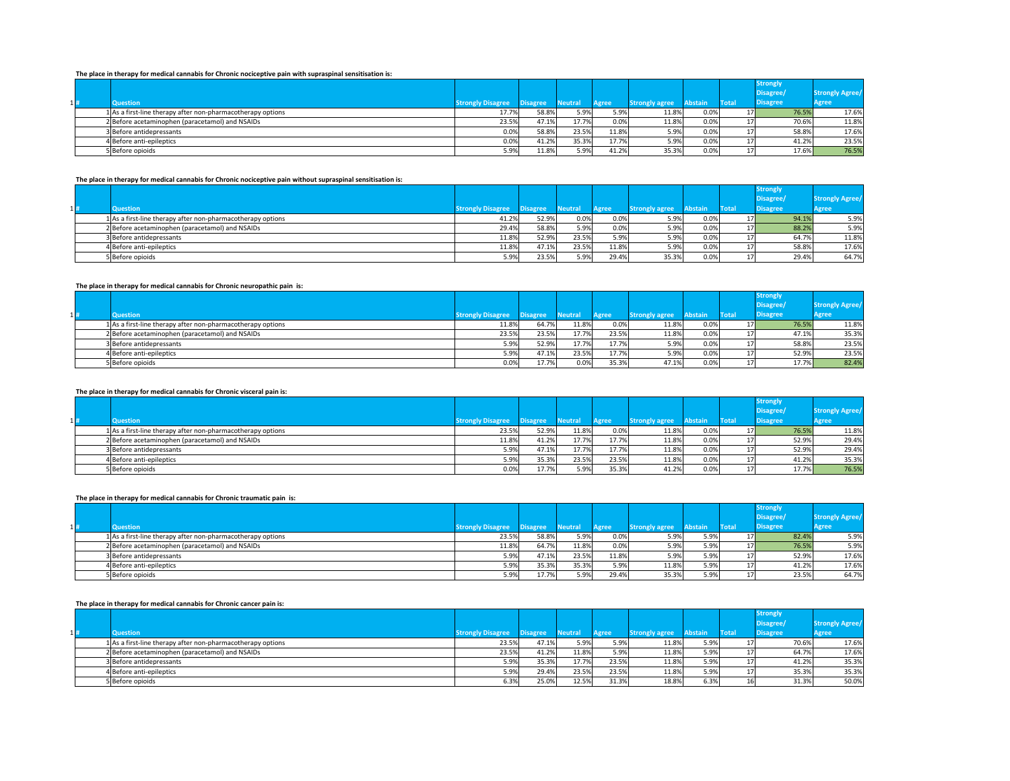### **The place in therapy for medical cannabis for Chronic nociceptive pain with supraspinal sensitisation is:**

|    | <u> Piaso in maraby for modium cannually for antenna inverseptive bain mini cabinebinal concisionment in</u> |                          |                 |         |              |                       |         |                 |                 |                        |
|----|--------------------------------------------------------------------------------------------------------------|--------------------------|-----------------|---------|--------------|-----------------------|---------|-----------------|-----------------|------------------------|
|    |                                                                                                              |                          |                 |         |              |                       |         |                 | <b>Strongly</b> |                        |
|    |                                                                                                              |                          |                 |         |              |                       |         |                 | Disagree/       | <b>Strongly Agree/</b> |
| 1# | <b>Question</b>                                                                                              | <b>Strongly Disagree</b> | <b>Disagree</b> | Neutral | <b>Agree</b> | <b>Strongly agree</b> | Abstain | Total           | <b>Disagree</b> | <b>Agree</b>           |
|    | 1 As a first-line therapy after non-pharmacotherapy options                                                  | 17.7%                    | 58.8%           | 5.9%    | 5.9%         | 11.8%                 | 0.0%    | 17 <sup>1</sup> | 76.5%           | 17.6%                  |
|    | 2 Before acetaminophen (paracetamol) and NSAIDs                                                              | 23.5%                    | 47.1%           | 17.7%   | 0.0%         | 11.8%                 | 0.0%    |                 | 70.6%           | 11.8%                  |
|    | 3 Before antidepressants                                                                                     | 0.0%                     | 58.8%           | 23.5%   | 11.8%        | 5.9%                  | 0.0%    |                 | 58.8%           | 17.6%                  |
|    | 4Before anti-epileptics                                                                                      | 0.0%                     | 41.2%           | 35.3%   | 17.7%        | 5.9%                  | 0.0%    |                 | 41.2%           | 23.5%                  |
|    | 5 Before opioids                                                                                             | 5.9%                     | 11.8%           | 5.9%    | 41.2%        | 35.3%                 | 0.0%    | 17              | 17.6%           | 76.5%                  |

### **The place in therapy for medical cannabis for Chronic nociceptive pain without supraspinal sensitisation is:**

|        | The place in cherapy for incursor calinabis for chronic hockeptive pain without supraspinal sensitisation is. |                                                                                                                                                                                            |                          |                 |              |                        |                                                 |                |                 |                                                                                 |
|--------|---------------------------------------------------------------------------------------------------------------|--------------------------------------------------------------------------------------------------------------------------------------------------------------------------------------------|--------------------------|-----------------|--------------|------------------------|-------------------------------------------------|----------------|-----------------|---------------------------------------------------------------------------------|
|        |                                                                                                               |                                                                                                                                                                                            |                          |                 |              |                        |                                                 |                | <b>Strongly</b> |                                                                                 |
|        |                                                                                                               |                                                                                                                                                                                            |                          |                 |              |                        |                                                 |                | Disagree/       | <b>Strongly Agree/</b>                                                          |
| $1 $ # | <b>Question</b>                                                                                               |                                                                                                                                                                                            |                          |                 | <b>Agree</b> |                        |                                                 |                | <b>Disagree</b> | <b>Agree</b>                                                                    |
|        |                                                                                                               | 41.2%                                                                                                                                                                                      | 52.9%                    | 0.0%            |              | 5.9%                   | 0.0%                                            |                |                 | 5.9%                                                                            |
|        |                                                                                                               | 29.4%                                                                                                                                                                                      | 58.8%                    |                 | 0.0%         | 5.9%                   | 0.0%                                            |                |                 | 5.9%                                                                            |
|        |                                                                                                               | 11.8%                                                                                                                                                                                      | 52.9%                    |                 | 5.9%         | 5.9%                   | 0.0%                                            |                |                 | 11.8%                                                                           |
|        |                                                                                                               | 11.8%                                                                                                                                                                                      | 47.1%                    |                 |              | 5.9%                   | 0.0%                                            |                |                 | 17.6%                                                                           |
|        |                                                                                                               | 5.9%                                                                                                                                                                                       | 23.5%                    | 5.9%            |              | 35.3%                  | 0.0%                                            |                |                 | 64.7%                                                                           |
|        |                                                                                                               | 1 As a first-line therapy after non-pharmacotherapy options<br>2 Before acetaminophen (paracetamol) and NSAIDs<br>3 Before antidepressants<br>4 Before anti-epileptics<br>5 Before opioids | <b>Strongly Disagree</b> | <b>Disagree</b> | Neutral      | 5.9%<br>23.5%<br>23.5% | <b>Strongly agree</b><br>0.0%<br>11.8%<br>29.4% | <b>Abstain</b> | <b>Total</b>    | 94.1%<br>17 I<br>88.2%<br>17 <sup>1</sup><br>64.7%<br>58.8%<br>29.4%<br>$\perp$ |

#### **The place in therapy for medical cannabis for Chronic neuropathic pain is:**

|     | The place in the apy for meanon calliable for chronic hear opathic pain, is, |                                                                                                                                                                                            |       |                          |                                                    |                                  |                                                                   |         |                      |                                                                         |
|-----|------------------------------------------------------------------------------|--------------------------------------------------------------------------------------------------------------------------------------------------------------------------------------------|-------|--------------------------|----------------------------------------------------|----------------------------------|-------------------------------------------------------------------|---------|----------------------|-------------------------------------------------------------------------|
|     |                                                                              |                                                                                                                                                                                            |       |                          |                                                    |                                  |                                                                   |         | <b>Strongly</b>      |                                                                         |
|     |                                                                              |                                                                                                                                                                                            |       |                          |                                                    |                                  |                                                                   |         | Disagree/            | <b>Strongly Agree/</b>                                                  |
| 1 # | <b>Question</b>                                                              | <b>Strongly Disagree</b>                                                                                                                                                                   |       |                          | <b>Agree</b>                                       |                                  |                                                                   |         | <b>Disagree</b>      | <b>Agree</b>                                                            |
|     |                                                                              | 11.8%                                                                                                                                                                                      |       |                          |                                                    | 11.8%                            | 0.0%                                                              |         |                      | 11.8%                                                                   |
|     |                                                                              |                                                                                                                                                                                            |       |                          |                                                    | 11.8%                            |                                                                   |         |                      | 35.3%                                                                   |
|     |                                                                              | 5.9%                                                                                                                                                                                       | 52.9% |                          |                                                    | 5.9%                             | 0.0%                                                              |         |                      | 23.5%                                                                   |
|     |                                                                              | 5.9%                                                                                                                                                                                       |       |                          |                                                    | 5.9%                             | 0.0%                                                              |         |                      | 23.5%                                                                   |
|     |                                                                              | 0.0%                                                                                                                                                                                       |       | 0.0%                     |                                                    | 47.1%                            | 0.0%                                                              |         |                      | 82.4%                                                                   |
|     |                                                                              | 1 As a first-line therapy after non-pharmacotherapy options<br>2 Before acetaminophen (paracetamol) and NSAIDs<br>3 Before antidepressants<br>4 Before anti-epileptics<br>5 Before opioids |       | <b>Disagree</b><br>23.5% | <b>Neutral</b><br>64.7%<br>23.5%<br>47.1%<br>17.7% | 11.8%<br>17.7%<br>17.7%<br>23.5% | <b>Strongly agree</b><br>0.0%<br>23.5%<br>17.7%<br>17.7%<br>35.3% | Abstain | <b>Total</b><br>0.0% | 76.5%<br>17 <sub>l</sub><br>47.1%<br>58.8%<br>52.9%<br>17.7%<br>$\perp$ |

#### **The place in therapy for medical cannabis for Chronic visceral pain is:**

|     |                  |                                                             |                          |                 |                |       |                       |                |              | <b>Strongly</b> |                        |
|-----|------------------|-------------------------------------------------------------|--------------------------|-----------------|----------------|-------|-----------------------|----------------|--------------|-----------------|------------------------|
|     |                  |                                                             |                          |                 |                |       |                       |                |              | Disagree/       | <b>Strongly Agree/</b> |
| 11# | <b>Question</b>  |                                                             | <b>Strongly Disagree</b> | <b>Disagree</b> | <b>Neutral</b> | Agree | <b>Strongly agree</b> | <b>Abstain</b> | <b>Total</b> | <b>Disagree</b> | Agree                  |
|     |                  | 1 As a first-line therapy after non-pharmacotherapy options | 23.5%                    | 52.9%           | 11.8%          | 0.0%  | 11.8%                 | 0.0%           | 17I          | 76.5%           | 11.8%                  |
|     |                  | 2 Before acetaminophen (paracetamol) and NSAIDs             | 11.8%                    | 41.2%           | 17.7%          | 17.7% | 11.8%                 | 0.0%           |              | 52.9%           | 29.4%                  |
|     |                  | 3 Before antidepressants                                    | 5.9%                     | 47.1%           | 17.7%          | 17.7% | 11.8%                 | 0.0%           |              | 52.9%           | 29.4%                  |
|     |                  | 4 Before anti-epileptics                                    | 5.9%                     | 35.3%           | 23.5%          | 23.5% | 11.8%                 | 0.0%           |              | 41.2%           | 35.3%                  |
|     | 5 Before opioids |                                                             | 0.0%                     | 17.7%           | 5.9%           | 35.3% | 41.2%                 | 0.0%           |              | 17.7%           | 76.5%                  |

### **The place in therapy for medical cannabis for Chronic traumatic pain is:**

|     | $\cdots$ , and proved in the case of the continuous continuous respective to a continuous positive respectively. |                          |                 |                |              |                       |                |              |                 |                        |
|-----|------------------------------------------------------------------------------------------------------------------|--------------------------|-----------------|----------------|--------------|-----------------------|----------------|--------------|-----------------|------------------------|
|     |                                                                                                                  |                          |                 |                |              |                       |                |              | <b>Strongly</b> |                        |
|     |                                                                                                                  |                          |                 |                |              |                       |                |              | Disagree/       | <b>Strongly Agree/</b> |
| 1 # | Question                                                                                                         | <b>Strongly Disagree</b> | <b>Disagree</b> | <b>Neutral</b> | <b>Agree</b> | <b>Strongly agree</b> | <b>Abstain</b> | <b>Total</b> | <b>Disagree</b> | <b>Agree</b>           |
|     | 1 As a first-line therapy after non-pharmacotherapy options                                                      | 23.5%                    | 58.8%           | 5.9%           | 0.0%         | 5.9%                  | 5.9%           | 17I          | 82.4%           | 5.9%                   |
|     | 2 Before acetaminophen (paracetamol) and NSAIDs                                                                  | 11.8%                    | 64.7%           | 11.8%          | 0.0%         | 5.9%                  | 5.9%           | 17I          | 76.5%           | 5.9%                   |
|     | 3 Before antidepressants                                                                                         | 5.9%                     | 47.1%           | 23.5%          | 11.8%        | 5.9%                  | 5.9%           |              | 52.9%           | 17.6%                  |
|     | 4 Before anti-epileptics                                                                                         | 5.9%                     | 35.3%           | 35.3%          | 5.9%         | 11.8%                 | 5.9%           |              | 41.2%           | 17.6%                  |
|     | 5 Before opioids                                                                                                 | 5.9%                     | 17.7%           | 5.9%           | 29.4%        | 35.3%                 | 5.9%           |              | 23.5%           | 64.7%                  |

#### **The place in therapy for medical cannabis for Chronic cancer pain is:**

|     |                                                                                                                                                                                                               |                          |                 |                                           |                                  |                                                          |                | <b>Strongly</b> |              |                                           |
|-----|---------------------------------------------------------------------------------------------------------------------------------------------------------------------------------------------------------------|--------------------------|-----------------|-------------------------------------------|----------------------------------|----------------------------------------------------------|----------------|-----------------|--------------|-------------------------------------------|
|     |                                                                                                                                                                                                               |                          |                 |                                           |                                  |                                                          |                | Disagree/       |              | <b>Strongly Agree/</b>                    |
| 1 # |                                                                                                                                                                                                               |                          |                 | <b>Agree</b>                              |                                  |                                                          |                | <b>Disagree</b> | <b>Agree</b> |                                           |
|     | 23.5%                                                                                                                                                                                                         |                          | 5.9%            | 5.9%                                      | 11.8%                            | 5.9%                                                     |                |                 |              | 17.6%                                     |
|     | 23.5%                                                                                                                                                                                                         |                          |                 |                                           | 11.8%                            | 5.9%                                                     |                |                 |              | 17.6%                                     |
|     | 5.9%                                                                                                                                                                                                          | 35.3%                    |                 |                                           | 11.8%                            | 5.9%                                                     |                |                 |              | 35.3%                                     |
|     | 5.9%                                                                                                                                                                                                          | 29.4%                    |                 |                                           | 11.8%                            | 5.9%                                                     |                |                 |              | 35.3%                                     |
|     | 6.3%                                                                                                                                                                                                          |                          |                 |                                           | 18.8%                            | 6.3%                                                     |                |                 |              | 50.0%                                     |
|     | <b>Question</b><br>1 As a first-line therapy after non-pharmacotherapy options<br>2 Before acetaminophen (paracetamol) and NSAIDs<br>3 Before antidepressants<br>4 Before anti-epileptics<br>5 Before opioids | <b>Strongly Disagree</b> | <b>Disagree</b> | <b>Neutral</b><br>47.1%<br>41.2%<br>25.0% | 11.8%<br>17.7%<br>23.5%<br>12.5% | <b>Strongly agree</b><br>5.9%<br>23.5%<br>23.5%<br>31.3% | <b>Abstain</b> | <b>Total</b>    | 16           | 70.6%<br>64.7%<br>41.2%<br>35.3%<br>31.3% |